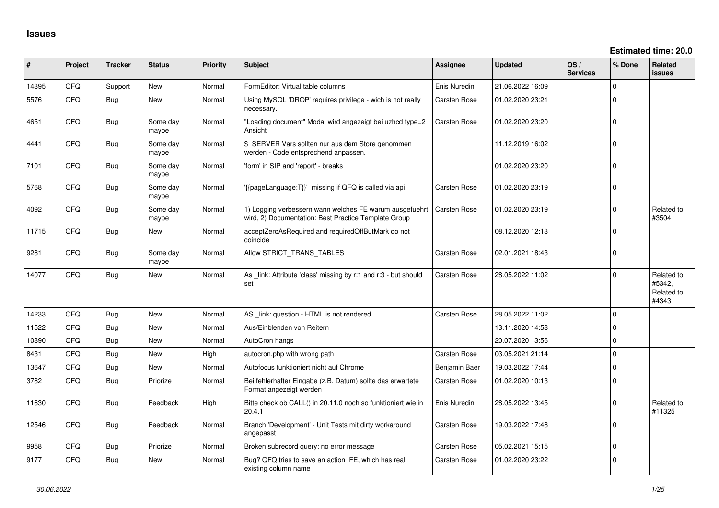| ∦     | Project | <b>Tracker</b> | <b>Status</b>     | <b>Priority</b> | <b>Subject</b>                                                                                                  | <b>Assignee</b>     | <b>Updated</b>   | OS/<br><b>Services</b> | % Done       | Related<br><b>issues</b>                    |
|-------|---------|----------------|-------------------|-----------------|-----------------------------------------------------------------------------------------------------------------|---------------------|------------------|------------------------|--------------|---------------------------------------------|
| 14395 | QFQ     | Support        | <b>New</b>        | Normal          | FormEditor: Virtual table columns                                                                               | Enis Nuredini       | 21.06.2022 16:09 |                        | $\Omega$     |                                             |
| 5576  | QFQ     | Bug            | New               | Normal          | Using MySQL 'DROP' requires privilege - wich is not really<br>necessary.                                        | Carsten Rose        | 01.02.2020 23:21 |                        | $\Omega$     |                                             |
| 4651  | QFQ     | Bug            | Some day<br>maybe | Normal          | "Loading document" Modal wird angezeigt bei uzhcd type=2<br>Ansicht                                             | Carsten Rose        | 01.02.2020 23:20 |                        | $\Omega$     |                                             |
| 4441  | QFQ     | <b>Bug</b>     | Some day<br>maybe | Normal          | \$_SERVER Vars sollten nur aus dem Store genommen<br>werden - Code entsprechend anpassen.                       |                     | 11.12.2019 16:02 |                        | $\Omega$     |                                             |
| 7101  | QFQ     | <b>Bug</b>     | Some day<br>maybe | Normal          | 'form' in SIP and 'report' - breaks                                                                             |                     | 01.02.2020 23:20 |                        | $\Omega$     |                                             |
| 5768  | QFQ     | <b>Bug</b>     | Some day<br>maybe | Normal          | '{{pageLanguage:T}}' missing if QFQ is called via api                                                           | Carsten Rose        | 01.02.2020 23:19 |                        | $\Omega$     |                                             |
| 4092  | QFQ     | <b>Bug</b>     | Some day<br>maybe | Normal          | 1) Logging verbessern wann welches FE warum ausgefuehrt<br>wird, 2) Documentation: Best Practice Template Group | <b>Carsten Rose</b> | 01.02.2020 23:19 |                        | $\Omega$     | Related to<br>#3504                         |
| 11715 | QFQ     | Bug            | <b>New</b>        | Normal          | acceptZeroAsRequired and requiredOffButMark do not<br>coincide                                                  |                     | 08.12.2020 12:13 |                        | $\Omega$     |                                             |
| 9281  | QFQ     | <b>Bug</b>     | Some day<br>maybe | Normal          | Allow STRICT_TRANS_TABLES                                                                                       | Carsten Rose        | 02.01.2021 18:43 |                        | $\mathbf{0}$ |                                             |
| 14077 | QFQ     | <b>Bug</b>     | <b>New</b>        | Normal          | As link: Attribute 'class' missing by r:1 and r:3 - but should<br>set                                           | Carsten Rose        | 28.05.2022 11:02 |                        | $\Omega$     | Related to<br>#5342.<br>Related to<br>#4343 |
| 14233 | QFQ     | Bug            | <b>New</b>        | Normal          | AS _link: question - HTML is not rendered                                                                       | Carsten Rose        | 28.05.2022 11:02 |                        | $\Omega$     |                                             |
| 11522 | QFQ     | <b>Bug</b>     | <b>New</b>        | Normal          | Aus/Einblenden von Reitern                                                                                      |                     | 13.11.2020 14:58 |                        | 0            |                                             |
| 10890 | QFQ     | Bug            | New               | Normal          | AutoCron hangs                                                                                                  |                     | 20.07.2020 13:56 |                        | 0            |                                             |
| 8431  | QFQ     | <b>Bug</b>     | <b>New</b>        | High            | autocron.php with wrong path                                                                                    | <b>Carsten Rose</b> | 03.05.2021 21:14 |                        | $\Omega$     |                                             |
| 13647 | QFQ     | <b>Bug</b>     | New               | Normal          | Autofocus funktioniert nicht auf Chrome                                                                         | Benjamin Baer       | 19.03.2022 17:44 |                        | $\Omega$     |                                             |
| 3782  | QFQ     | <b>Bug</b>     | Priorize          | Normal          | Bei fehlerhafter Eingabe (z.B. Datum) sollte das erwartete<br>Format angezeigt werden                           | Carsten Rose        | 01.02.2020 10:13 |                        | $\mathbf{0}$ |                                             |
| 11630 | QFQ     | <b>Bug</b>     | Feedback          | High            | Bitte check ob CALL() in 20.11.0 noch so funktioniert wie in<br>20.4.1                                          | Enis Nuredini       | 28.05.2022 13:45 |                        | $\Omega$     | Related to<br>#11325                        |
| 12546 | QFQ     | <b>Bug</b>     | Feedback          | Normal          | Branch 'Development' - Unit Tests mit dirty workaround<br>angepasst                                             | <b>Carsten Rose</b> | 19.03.2022 17:48 |                        | $\Omega$     |                                             |
| 9958  | QFQ     | <b>Bug</b>     | Priorize          | Normal          | Broken subrecord query: no error message                                                                        | Carsten Rose        | 05.02.2021 15:15 |                        | $\mathbf 0$  |                                             |
| 9177  | QFQ     | <b>Bug</b>     | New               | Normal          | Bug? QFQ tries to save an action FE, which has real<br>existing column name                                     | <b>Carsten Rose</b> | 01.02.2020 23:22 |                        | $\mathbf 0$  |                                             |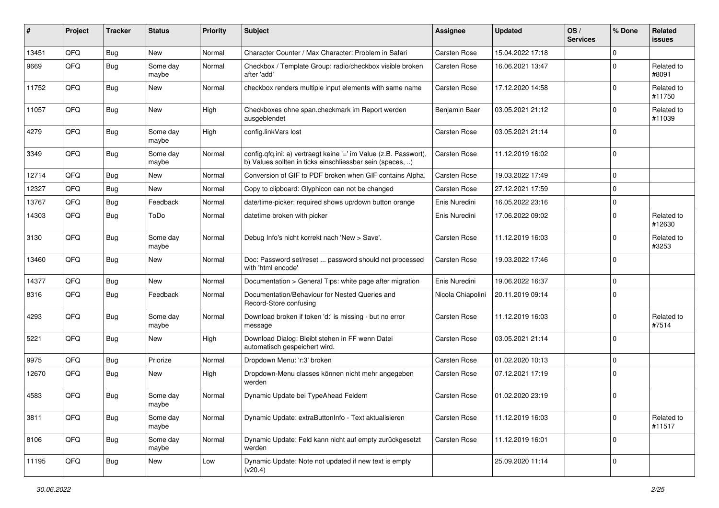| #     | Project | <b>Tracker</b> | <b>Status</b>     | <b>Priority</b> | Subject                                                                                                                       | <b>Assignee</b>     | <b>Updated</b>   | OS/<br><b>Services</b> | % Done         | Related<br><b>issues</b> |
|-------|---------|----------------|-------------------|-----------------|-------------------------------------------------------------------------------------------------------------------------------|---------------------|------------------|------------------------|----------------|--------------------------|
| 13451 | QFQ     | Bug            | New               | Normal          | Character Counter / Max Character: Problem in Safari                                                                          | <b>Carsten Rose</b> | 15.04.2022 17:18 |                        | $\overline{0}$ |                          |
| 9669  | QFQ     | <b>Bug</b>     | Some day<br>maybe | Normal          | Checkbox / Template Group: radio/checkbox visible broken<br>after 'add'                                                       | Carsten Rose        | 16.06.2021 13:47 |                        | $\Omega$       | Related to<br>#8091      |
| 11752 | QFQ     | <b>Bug</b>     | New               | Normal          | checkbox renders multiple input elements with same name                                                                       | Carsten Rose        | 17.12.2020 14:58 |                        | $\Omega$       | Related to<br>#11750     |
| 11057 | QFQ     | Bug            | <b>New</b>        | High            | Checkboxes ohne span.checkmark im Report werden<br>ausgeblendet                                                               | Benjamin Baer       | 03.05.2021 21:12 |                        | $\Omega$       | Related to<br>#11039     |
| 4279  | QFQ     | <b>Bug</b>     | Some day<br>maybe | High            | config.linkVars lost                                                                                                          | Carsten Rose        | 03.05.2021 21:14 |                        | $\Omega$       |                          |
| 3349  | QFQ     | Bug            | Some day<br>maybe | Normal          | config.qfq.ini: a) vertraegt keine '=' im Value (z.B. Passwort),<br>b) Values sollten in ticks einschliessbar sein (spaces, ) | Carsten Rose        | 11.12.2019 16:02 |                        | $\mathbf 0$    |                          |
| 12714 | QFQ     | Bug            | New               | Normal          | Conversion of GIF to PDF broken when GIF contains Alpha.                                                                      | Carsten Rose        | 19.03.2022 17:49 |                        | $\mathbf 0$    |                          |
| 12327 | QFQ     | Bug            | New               | Normal          | Copy to clipboard: Glyphicon can not be changed                                                                               | Carsten Rose        | 27.12.2021 17:59 |                        | $\Omega$       |                          |
| 13767 | QFQ     | Bug            | Feedback          | Normal          | date/time-picker: required shows up/down button orange                                                                        | Enis Nuredini       | 16.05.2022 23:16 |                        | $\mathbf 0$    |                          |
| 14303 | QFQ     | <b>Bug</b>     | ToDo              | Normal          | datetime broken with picker                                                                                                   | Enis Nuredini       | 17.06.2022 09:02 |                        | $\Omega$       | Related to<br>#12630     |
| 3130  | QFQ     | Bug            | Some day<br>maybe | Normal          | Debug Info's nicht korrekt nach 'New > Save'.                                                                                 | Carsten Rose        | 11.12.2019 16:03 |                        | $\Omega$       | Related to<br>#3253      |
| 13460 | QFQ     | Bug            | New               | Normal          | Doc: Password set/reset  password should not processed<br>with 'html encode'                                                  | Carsten Rose        | 19.03.2022 17:46 |                        | $\Omega$       |                          |
| 14377 | QFQ     | Bug            | New               | Normal          | Documentation > General Tips: white page after migration                                                                      | Enis Nuredini       | 19.06.2022 16:37 |                        | $\mathbf 0$    |                          |
| 8316  | QFQ     | <b>Bug</b>     | Feedback          | Normal          | Documentation/Behaviour for Nested Queries and<br>Record-Store confusing                                                      | Nicola Chiapolini   | 20.11.2019 09:14 |                        | $\Omega$       |                          |
| 4293  | QFQ     | <b>Bug</b>     | Some day<br>maybe | Normal          | Download broken if token 'd:' is missing - but no error<br>message                                                            | Carsten Rose        | 11.12.2019 16:03 |                        | $\Omega$       | Related to<br>#7514      |
| 5221  | QFQ     | <b>Bug</b>     | <b>New</b>        | High            | Download Dialog: Bleibt stehen in FF wenn Datei<br>automatisch gespeichert wird.                                              | Carsten Rose        | 03.05.2021 21:14 |                        | $\mathbf 0$    |                          |
| 9975  | QFQ     | Bug            | Priorize          | Normal          | Dropdown Menu: 'r:3' broken                                                                                                   | Carsten Rose        | 01.02.2020 10:13 |                        | $\mathbf 0$    |                          |
| 12670 | QFQ     | Bug            | New               | High            | Dropdown-Menu classes können nicht mehr angegeben<br>werden                                                                   | Carsten Rose        | 07.12.2021 17:19 |                        | $\Omega$       |                          |
| 4583  | QFQ     | Bug            | Some day<br>maybe | Normal          | Dynamic Update bei TypeAhead Feldern                                                                                          | Carsten Rose        | 01.02.2020 23:19 |                        | $\mathbf 0$    |                          |
| 3811  | QFQ     | <b>Bug</b>     | Some day<br>maybe | Normal          | Dynamic Update: extraButtonInfo - Text aktualisieren                                                                          | Carsten Rose        | 11.12.2019 16:03 |                        | $\mathbf 0$    | Related to<br>#11517     |
| 8106  | QFQ     | Bug            | Some day<br>maybe | Normal          | Dynamic Update: Feld kann nicht auf empty zurückgesetzt<br>werden                                                             | Carsten Rose        | 11.12.2019 16:01 |                        | 0              |                          |
| 11195 | QFQ     | <b>Bug</b>     | New               | Low             | Dynamic Update: Note not updated if new text is empty<br>(v20.4)                                                              |                     | 25.09.2020 11:14 |                        | $\mathbf 0$    |                          |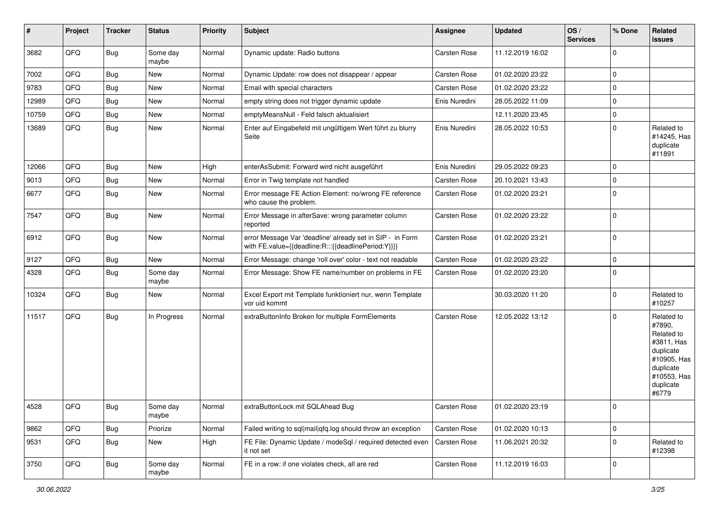| #     | Project | <b>Tracker</b> | <b>Status</b>     | <b>Priority</b> | <b>Subject</b>                                                                                                   | Assignee            | <b>Updated</b>   | OS/<br><b>Services</b> | % Done      | Related<br><b>issues</b>                                                                                                       |
|-------|---------|----------------|-------------------|-----------------|------------------------------------------------------------------------------------------------------------------|---------------------|------------------|------------------------|-------------|--------------------------------------------------------------------------------------------------------------------------------|
| 3682  | QFQ     | Bug            | Some day<br>maybe | Normal          | Dynamic update: Radio buttons                                                                                    | Carsten Rose        | 11.12.2019 16:02 |                        | $\Omega$    |                                                                                                                                |
| 7002  | QFQ     | Bug            | New               | Normal          | Dynamic Update: row does not disappear / appear                                                                  | Carsten Rose        | 01.02.2020 23:22 |                        | $\Omega$    |                                                                                                                                |
| 9783  | QFQ     | <b>Bug</b>     | New               | Normal          | Email with special characters                                                                                    | Carsten Rose        | 01.02.2020 23:22 |                        | $\mathbf 0$ |                                                                                                                                |
| 12989 | QFQ     | <b>Bug</b>     | New               | Normal          | empty string does not trigger dynamic update                                                                     | Enis Nuredini       | 28.05.2022 11:09 |                        | $\mathbf 0$ |                                                                                                                                |
| 10759 | QFQ     | <b>Bug</b>     | New               | Normal          | emptyMeansNull - Feld falsch aktualisiert                                                                        |                     | 12.11.2020 23:45 |                        | $\mathbf 0$ |                                                                                                                                |
| 13689 | QFQ     | Bug            | New               | Normal          | Enter auf Eingabefeld mit ungültigem Wert führt zu blurry<br>Seite                                               | Enis Nuredini       | 28.05.2022 10:53 |                        | $\Omega$    | Related to<br>#14245, Has<br>duplicate<br>#11891                                                                               |
| 12066 | QFQ     | <b>Bug</b>     | New               | High            | enterAsSubmit: Forward wird nicht ausgeführt                                                                     | Enis Nuredini       | 29.05.2022 09:23 |                        | $\Omega$    |                                                                                                                                |
| 9013  | QFQ     | <b>Bug</b>     | New               | Normal          | Error in Twig template not handled                                                                               | Carsten Rose        | 20.10.2021 13:43 |                        | $\Omega$    |                                                                                                                                |
| 6677  | QFQ     | Bug            | New               | Normal          | Error message FE Action Element: no/wrong FE reference<br>who cause the problem.                                 | Carsten Rose        | 01.02.2020 23:21 |                        | $\mathbf 0$ |                                                                                                                                |
| 7547  | QFQ     | <b>Bug</b>     | New               | Normal          | Error Message in afterSave: wrong parameter column<br>reported                                                   | Carsten Rose        | 01.02.2020 23:22 |                        | $\mathbf 0$ |                                                                                                                                |
| 6912  | QFQ     | Bug            | New               | Normal          | error Message Var 'deadline' already set in SIP - in Form<br>with FE.value={{deadline:R:::{{deadlinePeriod:Y}}}} | Carsten Rose        | 01.02.2020 23:21 |                        | l 0         |                                                                                                                                |
| 9127  | QFQ     | <b>Bug</b>     | New               | Normal          | Error Message: change 'roll over' color - text not readable                                                      | Carsten Rose        | 01.02.2020 23:22 |                        | $\Omega$    |                                                                                                                                |
| 4328  | QFQ     | Bug            | Some day<br>maybe | Normal          | Error Message: Show FE name/number on problems in FE                                                             | <b>Carsten Rose</b> | 01.02.2020 23:20 |                        | $\Omega$    |                                                                                                                                |
| 10324 | QFQ     | Bug            | New               | Normal          | Excel Export mit Template funktioniert nur, wenn Template<br>vor uid kommt                                       |                     | 30.03.2020 11:20 |                        | $\Omega$    | Related to<br>#10257                                                                                                           |
| 11517 | QFQ     | Bug            | In Progress       | Normal          | extraButtonInfo Broken for multiple FormElements                                                                 | Carsten Rose        | 12.05.2022 13:12 |                        | $\Omega$    | Related to<br>#7890,<br>Related to<br>#3811, Has<br>duplicate<br>#10905, Has<br>duplicate<br>#10553, Has<br>duplicate<br>#6779 |
| 4528  | QFQ     | <b>Bug</b>     | Some day<br>maybe | Normal          | extraButtonLock mit SQLAhead Bug                                                                                 | Carsten Rose        | 01.02.2020 23:19 |                        | 0           |                                                                                                                                |
| 9862  | QFQ     | <b>Bug</b>     | Priorize          | Normal          | Failed writing to sql mail qfq.log should throw an exception                                                     | Carsten Rose        | 01.02.2020 10:13 |                        | $\mathbf 0$ |                                                                                                                                |
| 9531  | QFQ     | <b>Bug</b>     | New               | High            | FE File: Dynamic Update / modeSql / required detected even<br>it not set                                         | Carsten Rose        | 11.06.2021 20:32 |                        | 0           | Related to<br>#12398                                                                                                           |
| 3750  | QFQ     | Bug            | Some day<br>maybe | Normal          | FE in a row: if one violates check, all are red                                                                  | Carsten Rose        | 11.12.2019 16:03 |                        | 0           |                                                                                                                                |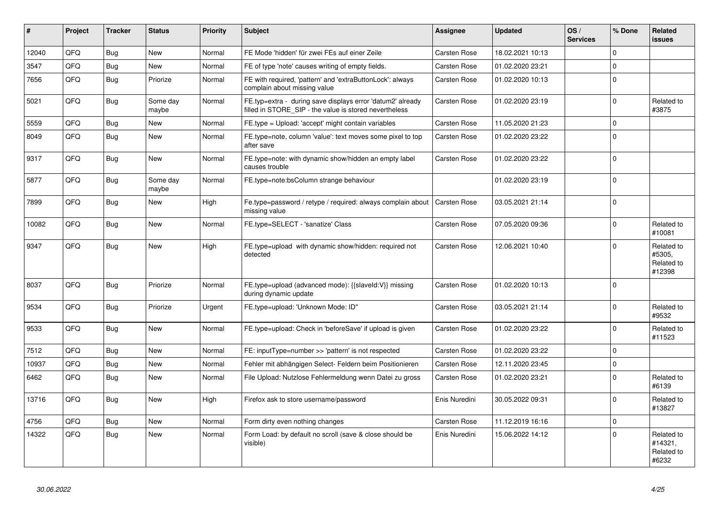| #     | Project | <b>Tracker</b> | <b>Status</b>     | <b>Priority</b> | <b>Subject</b>                                                                                                       | Assignee      | <b>Updated</b>   | OS/<br><b>Services</b> | % Done      | Related<br><b>issues</b>                     |
|-------|---------|----------------|-------------------|-----------------|----------------------------------------------------------------------------------------------------------------------|---------------|------------------|------------------------|-------------|----------------------------------------------|
| 12040 | QFQ     | <b>Bug</b>     | New               | Normal          | FE Mode 'hidden' für zwei FEs auf einer Zeile                                                                        | Carsten Rose  | 18.02.2021 10:13 |                        | $\Omega$    |                                              |
| 3547  | QFQ     | <b>Bug</b>     | New               | Normal          | FE of type 'note' causes writing of empty fields.                                                                    | Carsten Rose  | 01.02.2020 23:21 |                        | $\Omega$    |                                              |
| 7656  | QFQ     | Bug            | Priorize          | Normal          | FE with required, 'pattern' and 'extraButtonLock': always<br>complain about missing value                            | Carsten Rose  | 01.02.2020 10:13 |                        | $\Omega$    |                                              |
| 5021  | QFQ     | Bug            | Some day<br>maybe | Normal          | FE.typ=extra - during save displays error 'datum2' already<br>filled in STORE SIP - the value is stored nevertheless | Carsten Rose  | 01.02.2020 23:19 |                        | $\Omega$    | Related to<br>#3875                          |
| 5559  | QFQ     | Bug            | New               | Normal          | FE.type = Upload: 'accept' might contain variables                                                                   | Carsten Rose  | 11.05.2020 21:23 |                        | $\mathbf 0$ |                                              |
| 8049  | QFQ     | Bug            | New               | Normal          | FE.type=note, column 'value': text moves some pixel to top<br>after save                                             | Carsten Rose  | 01.02.2020 23:22 |                        | $\Omega$    |                                              |
| 9317  | QFQ     | Bug            | New               | Normal          | FE.type=note: with dynamic show/hidden an empty label<br>causes trouble                                              | Carsten Rose  | 01.02.2020 23:22 |                        | $\Omega$    |                                              |
| 5877  | QFQ     | <b>Bug</b>     | Some day<br>maybe | Normal          | FE.type=note:bsColumn strange behaviour                                                                              |               | 01.02.2020 23:19 |                        | $\Omega$    |                                              |
| 7899  | QFQ     | Bug            | New               | High            | Fe.type=password / retype / required: always complain about<br>missing value                                         | Carsten Rose  | 03.05.2021 21:14 |                        | $\Omega$    |                                              |
| 10082 | QFQ     | Bug            | <b>New</b>        | Normal          | FE.type=SELECT - 'sanatize' Class                                                                                    | Carsten Rose  | 07.05.2020 09:36 |                        | $\Omega$    | Related to<br>#10081                         |
| 9347  | QFQ     | <b>Bug</b>     | New               | High            | FE.type=upload with dynamic show/hidden: required not<br>detected                                                    | Carsten Rose  | 12.06.2021 10:40 |                        | $\Omega$    | Related to<br>#5305,<br>Related to<br>#12398 |
| 8037  | QFQ     | Bug            | Priorize          | Normal          | FE.type=upload (advanced mode): {{slaveId:V}} missing<br>during dynamic update                                       | Carsten Rose  | 01.02.2020 10:13 |                        | $\Omega$    |                                              |
| 9534  | QFQ     | Bug            | Priorize          | Urgent          | FE.type=upload: 'Unknown Mode: ID"                                                                                   | Carsten Rose  | 03.05.2021 21:14 |                        | $\Omega$    | Related to<br>#9532                          |
| 9533  | QFQ     | Bug            | New               | Normal          | FE.type=upload: Check in 'beforeSave' if upload is given                                                             | Carsten Rose  | 01.02.2020 23:22 |                        | $\Omega$    | Related to<br>#11523                         |
| 7512  | QFQ     | Bug            | New               | Normal          | FE: inputType=number >> 'pattern' is not respected                                                                   | Carsten Rose  | 01.02.2020 23:22 |                        | $\Omega$    |                                              |
| 10937 | QFQ     | <b>Bug</b>     | New               | Normal          | Fehler mit abhängigen Select- Feldern beim Positionieren                                                             | Carsten Rose  | 12.11.2020 23:45 |                        | $\mathbf 0$ |                                              |
| 6462  | QFQ     | Bug            | New               | Normal          | File Upload: Nutzlose Fehlermeldung wenn Datei zu gross                                                              | Carsten Rose  | 01.02.2020 23:21 |                        | $\Omega$    | Related to<br>#6139                          |
| 13716 | QFQ     | <b>Bug</b>     | <b>New</b>        | High            | Firefox ask to store username/password                                                                               | Enis Nuredini | 30.05.2022 09:31 |                        | $\Omega$    | Related to<br>#13827                         |
| 4756  | QFQ     | Bug            | <b>New</b>        | Normal          | Form dirty even nothing changes                                                                                      | Carsten Rose  | 11.12.2019 16:16 |                        | $\mathbf 0$ |                                              |
| 14322 | QFQ     | Bug            | New               | Normal          | Form Load: by default no scroll (save & close should be<br>visible)                                                  | Enis Nuredini | 15.06.2022 14:12 |                        | $\Omega$    | Related to<br>#14321,<br>Related to<br>#6232 |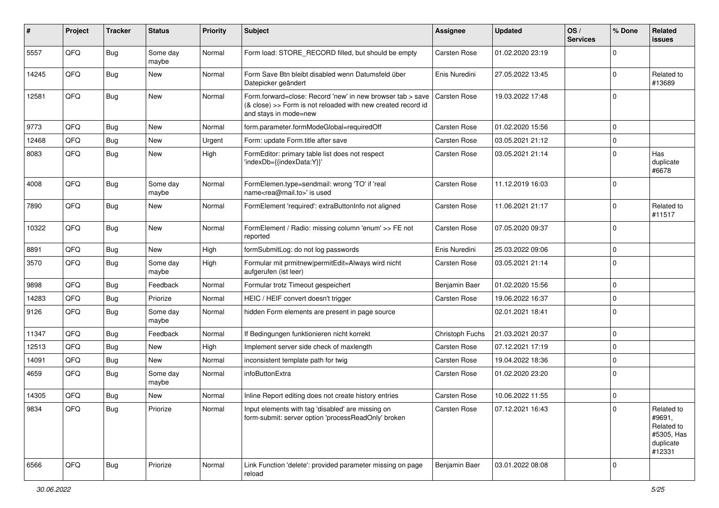| #     | Project | <b>Tracker</b> | <b>Status</b>     | <b>Priority</b> | Subject                                                                                                                                             | <b>Assignee</b> | <b>Updated</b>   | OS/<br><b>Services</b> | % Done      | Related<br><b>issues</b>                                                |
|-------|---------|----------------|-------------------|-----------------|-----------------------------------------------------------------------------------------------------------------------------------------------------|-----------------|------------------|------------------------|-------------|-------------------------------------------------------------------------|
| 5557  | QFQ     | Bug            | Some day<br>maybe | Normal          | Form load: STORE_RECORD filled, but should be empty                                                                                                 | Carsten Rose    | 01.02.2020 23:19 |                        | $\Omega$    |                                                                         |
| 14245 | QFQ     | Bug            | New               | Normal          | Form Save Btn bleibt disabled wenn Datumsfeld über<br>Datepicker geändert                                                                           | Enis Nuredini   | 27.05.2022 13:45 |                        | $\Omega$    | Related to<br>#13689                                                    |
| 12581 | QFQ     | Bug            | New               | Normal          | Form.forward=close: Record 'new' in new browser tab > save<br>(& close) >> Form is not reloaded with new created record id<br>and stays in mode=new | Carsten Rose    | 19.03.2022 17:48 |                        | $\Omega$    |                                                                         |
| 9773  | QFQ     | <b>Bug</b>     | New               | Normal          | form.parameter.formModeGlobal=requiredOff                                                                                                           | Carsten Rose    | 01.02.2020 15:56 |                        | $\Omega$    |                                                                         |
| 12468 | QFQ     | Bug            | New               | Urgent          | Form: update Form.title after save                                                                                                                  | Carsten Rose    | 03.05.2021 21:12 |                        | $\Omega$    |                                                                         |
| 8083  | QFQ     | Bug            | New               | High            | FormEditor: primary table list does not respect<br>'indexDb={{indexData:Y}}'                                                                        | Carsten Rose    | 03.05.2021 21:14 |                        | $\mathbf 0$ | Has<br>duplicate<br>#6678                                               |
| 4008  | QFQ     | Bug            | Some day<br>maybe | Normal          | FormElemen.type=sendmail: wrong 'TO' if 'real<br>name <rea@mail.to>' is used</rea@mail.to>                                                          | Carsten Rose    | 11.12.2019 16:03 |                        | $\Omega$    |                                                                         |
| 7890  | QFQ     | <b>Bug</b>     | New               | Normal          | FormElement 'required': extraButtonInfo not aligned                                                                                                 | Carsten Rose    | 11.06.2021 21:17 |                        | $\mathbf 0$ | Related to<br>#11517                                                    |
| 10322 | QFQ     | Bug            | New               | Normal          | FormElement / Radio: missing column 'enum' >> FE not<br>reported                                                                                    | Carsten Rose    | 07.05.2020 09:37 |                        | $\mathbf 0$ |                                                                         |
| 8891  | QFQ     | <b>Bug</b>     | New               | High            | formSubmitLog: do not log passwords                                                                                                                 | Enis Nuredini   | 25.03.2022 09:06 |                        | $\Omega$    |                                                                         |
| 3570  | QFQ     | Bug            | Some day<br>maybe | High            | Formular mit prmitnew permitEdit=Always wird nicht<br>aufgerufen (ist leer)                                                                         | Carsten Rose    | 03.05.2021 21:14 |                        | $\Omega$    |                                                                         |
| 9898  | QFQ     | <b>Bug</b>     | Feedback          | Normal          | Formular trotz Timeout gespeichert                                                                                                                  | Benjamin Baer   | 01.02.2020 15:56 |                        | $\Omega$    |                                                                         |
| 14283 | QFQ     | <b>Bug</b>     | Priorize          | Normal          | HEIC / HEIF convert doesn't trigger                                                                                                                 | Carsten Rose    | 19.06.2022 16:37 |                        | $\mathbf 0$ |                                                                         |
| 9126  | QFQ     | Bug            | Some day<br>maybe | Normal          | hidden Form elements are present in page source                                                                                                     |                 | 02.01.2021 18:41 |                        | $\Omega$    |                                                                         |
| 11347 | QFQ     | <b>Bug</b>     | Feedback          | Normal          | If Bedingungen funktionieren nicht korrekt                                                                                                          | Christoph Fuchs | 21.03.2021 20:37 |                        | $\mathbf 0$ |                                                                         |
| 12513 | QFQ     | Bug            | New               | High            | Implement server side check of maxlength                                                                                                            | Carsten Rose    | 07.12.2021 17:19 |                        | $\Omega$    |                                                                         |
| 14091 | QFQ     | <b>Bug</b>     | New               | Normal          | inconsistent template path for twig                                                                                                                 | Carsten Rose    | 19.04.2022 18:36 |                        | $\mathbf 0$ |                                                                         |
| 4659  | QFQ     | Bug            | Some day<br>maybe | Normal          | infoButtonExtra                                                                                                                                     | Carsten Rose    | 01.02.2020 23:20 |                        | $\mathbf 0$ |                                                                         |
| 14305 | QFQ     | <b>Bug</b>     | <b>New</b>        | Normal          | Inline Report editing does not create history entries                                                                                               | Carsten Rose    | 10.06.2022 11:55 |                        | $\Omega$    |                                                                         |
| 9834  | QFQ     | <b>Bug</b>     | Priorize          | Normal          | Input elements with tag 'disabled' are missing on<br>form-submit: server option 'processReadOnly' broken                                            | Carsten Rose    | 07.12.2021 16:43 |                        | 0           | Related to<br>#9691,<br>Related to<br>#5305, Has<br>duplicate<br>#12331 |
| 6566  | QFQ     | <b>Bug</b>     | Priorize          | Normal          | Link Function 'delete': provided parameter missing on page<br>reload                                                                                | Benjamin Baer   | 03.01.2022 08:08 |                        | 0           |                                                                         |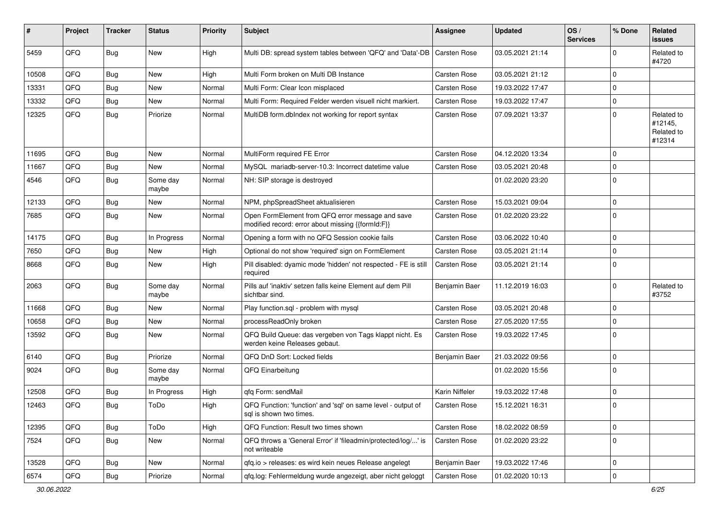| #     | Project | <b>Tracker</b> | <b>Status</b>     | <b>Priority</b> | <b>Subject</b>                                                                                        | Assignee            | <b>Updated</b>   | OS/<br><b>Services</b> | % Done      | Related<br><b>issues</b>                      |
|-------|---------|----------------|-------------------|-----------------|-------------------------------------------------------------------------------------------------------|---------------------|------------------|------------------------|-------------|-----------------------------------------------|
| 5459  | QFQ     | Bug            | New               | High            | Multi DB: spread system tables between 'QFQ' and 'Data'-DB                                            | <b>Carsten Rose</b> | 03.05.2021 21:14 |                        | $\Omega$    | Related to<br>#4720                           |
| 10508 | QFQ     | Bug            | New               | High            | Multi Form broken on Multi DB Instance                                                                | Carsten Rose        | 03.05.2021 21:12 |                        | $\Omega$    |                                               |
| 13331 | QFQ     | <b>Bug</b>     | <b>New</b>        | Normal          | Multi Form: Clear Icon misplaced                                                                      | Carsten Rose        | 19.03.2022 17:47 |                        | $\Omega$    |                                               |
| 13332 | QFQ     | <b>Bug</b>     | New               | Normal          | Multi Form: Required Felder werden visuell nicht markiert.                                            | Carsten Rose        | 19.03.2022 17:47 |                        | $\mathbf 0$ |                                               |
| 12325 | QFQ     | <b>Bug</b>     | Priorize          | Normal          | MultiDB form.dblndex not working for report syntax                                                    | Carsten Rose        | 07.09.2021 13:37 |                        | $\Omega$    | Related to<br>#12145,<br>Related to<br>#12314 |
| 11695 | QFQ     | <b>Bug</b>     | New               | Normal          | MultiForm required FE Error                                                                           | Carsten Rose        | 04.12.2020 13:34 |                        | $\mathbf 0$ |                                               |
| 11667 | QFQ     | <b>Bug</b>     | New               | Normal          | MySQL mariadb-server-10.3: Incorrect datetime value                                                   | Carsten Rose        | 03.05.2021 20:48 |                        | $\Omega$    |                                               |
| 4546  | QFQ     | <b>Bug</b>     | Some day<br>maybe | Normal          | NH: SIP storage is destroyed                                                                          |                     | 01.02.2020 23:20 |                        | $\Omega$    |                                               |
| 12133 | QFQ     | <b>Bug</b>     | New               | Normal          | NPM, phpSpreadSheet aktualisieren                                                                     | <b>Carsten Rose</b> | 15.03.2021 09:04 |                        | $\mathbf 0$ |                                               |
| 7685  | QFQ     | <b>Bug</b>     | New               | Normal          | Open FormElement from QFQ error message and save<br>modified record: error about missing {{formId:F}} | Carsten Rose        | 01.02.2020 23:22 |                        | $\Omega$    |                                               |
| 14175 | QFQ     | <b>Bug</b>     | In Progress       | Normal          | Opening a form with no QFQ Session cookie fails                                                       | Carsten Rose        | 03.06.2022 10:40 |                        | $\mathbf 0$ |                                               |
| 7650  | QFQ     | <b>Bug</b>     | New               | High            | Optional do not show 'required' sign on FormElement                                                   | Carsten Rose        | 03.05.2021 21:14 |                        | $\mathbf 0$ |                                               |
| 8668  | QFQ     | Bug            | New               | High            | Pill disabled: dyamic mode 'hidden' not respected - FE is still<br>required                           | Carsten Rose        | 03.05.2021 21:14 |                        | $\Omega$    |                                               |
| 2063  | QFQ     | Bug            | Some day<br>maybe | Normal          | Pills auf 'inaktiv' setzen falls keine Element auf dem Pill<br>sichtbar sind.                         | Benjamin Baer       | 11.12.2019 16:03 |                        | $\Omega$    | Related to<br>#3752                           |
| 11668 | QFQ     | <b>Bug</b>     | <b>New</b>        | Normal          | Play function.sql - problem with mysql                                                                | Carsten Rose        | 03.05.2021 20:48 |                        | $\Omega$    |                                               |
| 10658 | QFQ     | <b>Bug</b>     | New               | Normal          | processReadOnly broken                                                                                | Carsten Rose        | 27.05.2020 17:55 |                        | $\Omega$    |                                               |
| 13592 | QFQ     | <b>Bug</b>     | New               | Normal          | QFQ Build Queue: das vergeben von Tags klappt nicht. Es<br>werden keine Releases gebaut.              | Carsten Rose        | 19.03.2022 17:45 |                        | $\Omega$    |                                               |
| 6140  | QFQ     | <b>Bug</b>     | Priorize          | Normal          | QFQ DnD Sort: Locked fields                                                                           | Benjamin Baer       | 21.03.2022 09:56 |                        | $\Omega$    |                                               |
| 9024  | QFQ     | Bug            | Some day<br>maybe | Normal          | QFQ Einarbeitung                                                                                      |                     | 01.02.2020 15:56 |                        | $\mathbf 0$ |                                               |
| 12508 | QFQ     | Bug            | In Progress       | High            | qfq Form: sendMail                                                                                    | Karin Niffeler      | 19.03.2022 17:48 |                        | $\mathbf 0$ |                                               |
| 12463 | QFQ     | Bug            | ToDo              | High            | QFQ Function: 'function' and 'sql' on same level - output of<br>sql is shown two times.               | Carsten Rose        | 15.12.2021 16:31 |                        |             |                                               |
| 12395 | QFQ     | Bug            | ToDo              | High            | QFQ Function: Result two times shown                                                                  | Carsten Rose        | 18.02.2022 08:59 |                        | 0           |                                               |
| 7524  | QFQ     | Bug            | New               | Normal          | QFQ throws a 'General Error' if 'fileadmin/protected/log/' is<br>not writeable                        | Carsten Rose        | 01.02.2020 23:22 |                        | l 0         |                                               |
| 13528 | QFQ     | Bug            | New               | Normal          | qfq.io > releases: es wird kein neues Release angelegt                                                | Benjamin Baer       | 19.03.2022 17:46 |                        | 0           |                                               |
| 6574  | QFQ     | <b>Bug</b>     | Priorize          | Normal          | qfq.log: Fehlermeldung wurde angezeigt, aber nicht geloggt                                            | Carsten Rose        | 01.02.2020 10:13 |                        | $\mathbf 0$ |                                               |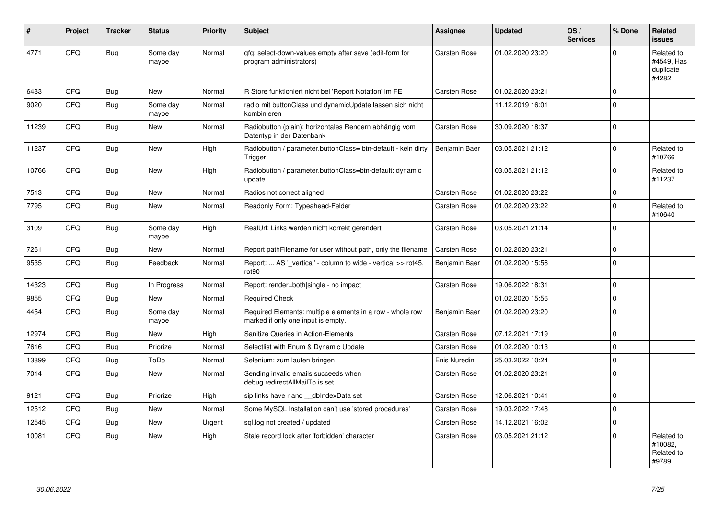| #     | Project | <b>Tracker</b> | <b>Status</b>     | <b>Priority</b> | <b>Subject</b>                                                                                  | Assignee            | <b>Updated</b>   | OS/<br><b>Services</b> | % Done      | Related<br><b>issues</b>                       |
|-------|---------|----------------|-------------------|-----------------|-------------------------------------------------------------------------------------------------|---------------------|------------------|------------------------|-------------|------------------------------------------------|
| 4771  | QFQ     | Bug            | Some day<br>maybe | Normal          | qfq: select-down-values empty after save (edit-form for<br>program administrators)              | Carsten Rose        | 01.02.2020 23:20 |                        | $\Omega$    | Related to<br>#4549, Has<br>duplicate<br>#4282 |
| 6483  | QFQ     | Bug            | <b>New</b>        | Normal          | R Store funktioniert nicht bei 'Report Notation' im FE                                          | <b>Carsten Rose</b> | 01.02.2020 23:21 |                        | $\Omega$    |                                                |
| 9020  | QFQ     | Bug            | Some day<br>maybe | Normal          | radio mit buttonClass und dynamicUpdate lassen sich nicht<br>kombinieren                        |                     | 11.12.2019 16:01 |                        | $\Omega$    |                                                |
| 11239 | QFQ     | Bug            | <b>New</b>        | Normal          | Radiobutton (plain): horizontales Rendern abhängig vom<br>Datentyp in der Datenbank             | Carsten Rose        | 30.09.2020 18:37 |                        | $\Omega$    |                                                |
| 11237 | QFQ     | Bug            | <b>New</b>        | High            | Radiobutton / parameter.buttonClass= btn-default - kein dirty<br>Trigger                        | Benjamin Baer       | 03.05.2021 21:12 |                        | $\Omega$    | Related to<br>#10766                           |
| 10766 | QFQ     | Bug            | <b>New</b>        | High            | Radiobutton / parameter.buttonClass=btn-default: dynamic<br>update                              |                     | 03.05.2021 21:12 |                        | $\Omega$    | Related to<br>#11237                           |
| 7513  | QFQ     | <b>Bug</b>     | <b>New</b>        | Normal          | Radios not correct aligned                                                                      | Carsten Rose        | 01.02.2020 23:22 |                        | $\mathbf 0$ |                                                |
| 7795  | QFQ     | Bug            | New               | Normal          | Readonly Form: Typeahead-Felder                                                                 | Carsten Rose        | 01.02.2020 23:22 |                        | $\Omega$    | Related to<br>#10640                           |
| 3109  | QFQ     | Bug            | Some day<br>maybe | High            | RealUrl: Links werden nicht korrekt gerendert                                                   | Carsten Rose        | 03.05.2021 21:14 |                        | $\Omega$    |                                                |
| 7261  | QFQ     | Bug            | <b>New</b>        | Normal          | Report pathFilename for user without path, only the filename                                    | Carsten Rose        | 01.02.2020 23:21 |                        | $\Omega$    |                                                |
| 9535  | QFQ     | <b>Bug</b>     | Feedback          | Normal          | Report:  AS '_vertical' - column to wide - vertical >> rot45,<br>rot <sub>90</sub>              | Benjamin Baer       | 01.02.2020 15:56 |                        | $\mathbf 0$ |                                                |
| 14323 | QFQ     | Bug            | In Progress       | Normal          | Report: render=both single - no impact                                                          | <b>Carsten Rose</b> | 19.06.2022 18:31 |                        | $\Omega$    |                                                |
| 9855  | QFQ     | <b>Bug</b>     | New               | Normal          | <b>Required Check</b>                                                                           |                     | 01.02.2020 15:56 |                        | $\mathbf 0$ |                                                |
| 4454  | QFQ     | Bug            | Some day<br>maybe | Normal          | Required Elements: multiple elements in a row - whole row<br>marked if only one input is empty. | Benjamin Baer       | 01.02.2020 23:20 |                        | $\Omega$    |                                                |
| 12974 | QFQ     | Bug            | New               | High            | Sanitize Queries in Action-Elements                                                             | Carsten Rose        | 07.12.2021 17:19 |                        | $\Omega$    |                                                |
| 7616  | QFQ     | <b>Bug</b>     | Priorize          | Normal          | Selectlist with Enum & Dynamic Update                                                           | Carsten Rose        | 01.02.2020 10:13 |                        | $\mathbf 0$ |                                                |
| 13899 | QFQ     | <b>Bug</b>     | ToDo              | Normal          | Selenium: zum laufen bringen                                                                    | Enis Nuredini       | 25.03.2022 10:24 |                        | $\Omega$    |                                                |
| 7014  | QFQ     | <b>Bug</b>     | New               | Normal          | Sending invalid emails succeeds when<br>debug.redirectAllMailTo is set                          | Carsten Rose        | 01.02.2020 23:21 |                        | $\Omega$    |                                                |
| 9121  | QFQ     | <b>Bug</b>     | Priorize          | High            | sip links have r and __dbIndexData set                                                          | <b>Carsten Rose</b> | 12.06.2021 10:41 |                        | $\Omega$    |                                                |
| 12512 | QFQ     | <b>Bug</b>     | <b>New</b>        | Normal          | Some MySQL Installation can't use 'stored procedures'                                           | Carsten Rose        | 19.03.2022 17:48 |                        | $\Omega$    |                                                |
| 12545 | QFQ     | Bug            | <b>New</b>        | Urgent          | sql.log not created / updated                                                                   | Carsten Rose        | 14.12.2021 16:02 |                        | $\mathbf 0$ |                                                |
| 10081 | QFQ     | Bug            | <b>New</b>        | High            | Stale record lock after 'forbidden' character                                                   | Carsten Rose        | 03.05.2021 21:12 |                        | $\mathbf 0$ | Related to<br>#10082.<br>Related to<br>#9789   |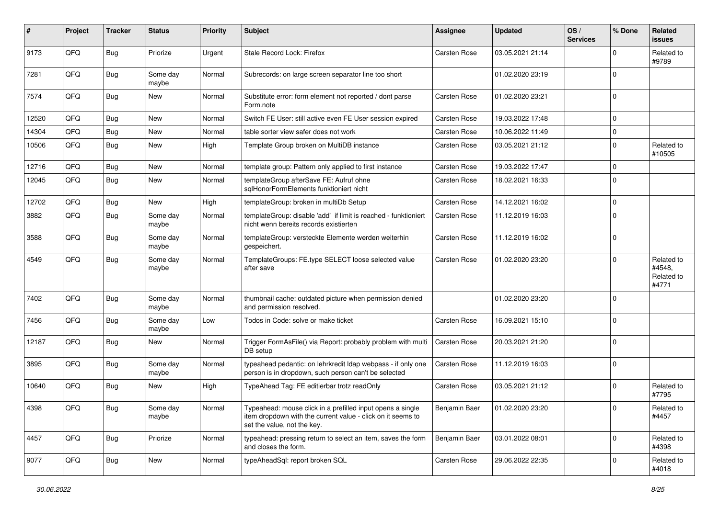| #     | Project | <b>Tracker</b> | <b>Status</b>     | <b>Priority</b> | Subject                                                                                                                                                  | <b>Assignee</b> | <b>Updated</b>   | OS/<br><b>Services</b> | % Done      | Related<br><b>issues</b>                    |
|-------|---------|----------------|-------------------|-----------------|----------------------------------------------------------------------------------------------------------------------------------------------------------|-----------------|------------------|------------------------|-------------|---------------------------------------------|
| 9173  | QFQ     | <b>Bug</b>     | Priorize          | Urgent          | Stale Record Lock: Firefox                                                                                                                               | Carsten Rose    | 03.05.2021 21:14 |                        | ∩           | Related to<br>#9789                         |
| 7281  | QFQ     | Bug            | Some day<br>maybe | Normal          | Subrecords: on large screen separator line too short                                                                                                     |                 | 01.02.2020 23:19 |                        | $\Omega$    |                                             |
| 7574  | QFQ     | Bug            | New               | Normal          | Substitute error: form element not reported / dont parse<br>Form.note                                                                                    | Carsten Rose    | 01.02.2020 23:21 |                        | $\Omega$    |                                             |
| 12520 | QFQ     | Bug            | New               | Normal          | Switch FE User: still active even FE User session expired                                                                                                | Carsten Rose    | 19.03.2022 17:48 |                        | $\mathbf 0$ |                                             |
| 14304 | QFQ     | Bug            | New               | Normal          | table sorter view safer does not work                                                                                                                    | Carsten Rose    | 10.06.2022 11:49 |                        | $\Omega$    |                                             |
| 10506 | QFQ     | <b>Bug</b>     | New               | High            | Template Group broken on MultiDB instance                                                                                                                | Carsten Rose    | 03.05.2021 21:12 |                        | $\mathbf 0$ | Related to<br>#10505                        |
| 12716 | QFQ     | Bug            | <b>New</b>        | Normal          | template group: Pattern only applied to first instance                                                                                                   | Carsten Rose    | 19.03.2022 17:47 |                        | $\Omega$    |                                             |
| 12045 | QFQ     | <b>Bug</b>     | New               | Normal          | templateGroup afterSave FE: Aufruf ohne<br>sglHonorFormElements funktioniert nicht                                                                       | Carsten Rose    | 18.02.2021 16:33 |                        | $\Omega$    |                                             |
| 12702 | QFQ     | Bug            | New               | High            | templateGroup: broken in multiDb Setup                                                                                                                   | Carsten Rose    | 14.12.2021 16:02 |                        | $\mathbf 0$ |                                             |
| 3882  | QFQ     | <b>Bug</b>     | Some day<br>maybe | Normal          | templateGroup: disable 'add' if limit is reached - funktioniert<br>nicht wenn bereits records existierten                                                | Carsten Rose    | 11.12.2019 16:03 |                        | $\mathbf 0$ |                                             |
| 3588  | QFQ     | Bug            | Some day<br>maybe | Normal          | templateGroup: versteckte Elemente werden weiterhin<br>gespeichert.                                                                                      | Carsten Rose    | 11.12.2019 16:02 |                        | 0           |                                             |
| 4549  | QFQ     | Bug            | Some day<br>maybe | Normal          | TemplateGroups: FE.type SELECT loose selected value<br>after save                                                                                        | Carsten Rose    | 01.02.2020 23:20 |                        | $\Omega$    | Related to<br>#4548,<br>Related to<br>#4771 |
| 7402  | QFQ     | <b>Bug</b>     | Some day<br>maybe | Normal          | thumbnail cache: outdated picture when permission denied<br>and permission resolved.                                                                     |                 | 01.02.2020 23:20 |                        | $\mathbf 0$ |                                             |
| 7456  | QFQ     | Bug            | Some day<br>maybe | Low             | Todos in Code: solve or make ticket                                                                                                                      | Carsten Rose    | 16.09.2021 15:10 |                        | 0           |                                             |
| 12187 | QFQ     | Bug            | New               | Normal          | Trigger FormAsFile() via Report: probably problem with multi<br>DB setup                                                                                 | Carsten Rose    | 20.03.2021 21:20 |                        | $\Omega$    |                                             |
| 3895  | QFQ     | Bug            | Some day<br>maybe | Normal          | typeahead pedantic: on lehrkredit Idap webpass - if only one<br>person is in dropdown, such person can't be selected                                     | Carsten Rose    | 11.12.2019 16:03 |                        | $\Omega$    |                                             |
| 10640 | QFQ     | Bug            | New               | High            | TypeAhead Tag: FE editierbar trotz readOnly                                                                                                              | Carsten Rose    | 03.05.2021 21:12 |                        | 0           | Related to<br>#7795                         |
| 4398  | QFQ     | Bug            | Some day<br>maybe | Normal          | Typeahead: mouse click in a prefilled input opens a single<br>item dropdown with the current value - click on it seems to<br>set the value, not the key. | Benjamin Baer   | 01.02.2020 23:20 |                        | 0           | Related to<br>#4457                         |
| 4457  | QFQ     | Bug            | Priorize          | Normal          | typeahead: pressing return to select an item, saves the form<br>and closes the form.                                                                     | Benjamin Baer   | 03.01.2022 08:01 |                        | $\mathbf 0$ | Related to<br>#4398                         |
| 9077  | QFQ     | <b>Bug</b>     | New               | Normal          | typeAheadSql: report broken SQL                                                                                                                          | Carsten Rose    | 29.06.2022 22:35 |                        | 0           | Related to<br>#4018                         |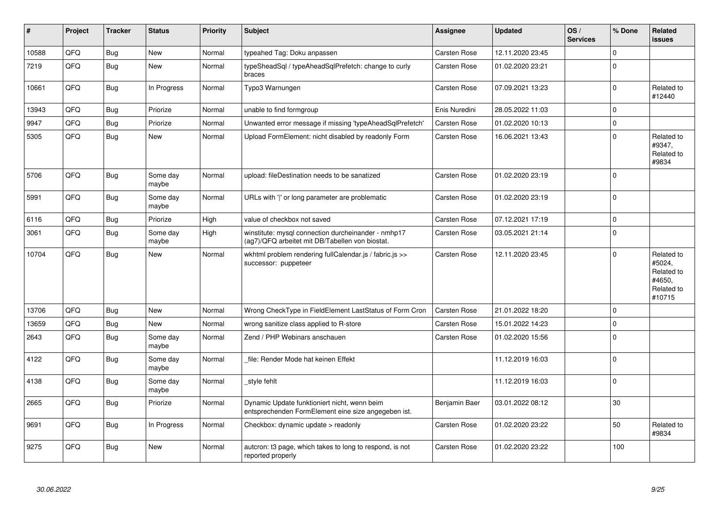| #     | Project | <b>Tracker</b> | <b>Status</b>     | <b>Priority</b> | <b>Subject</b>                                                                                         | Assignee      | <b>Updated</b>   | OS/<br><b>Services</b> | % Done      | Related<br><b>issues</b>                                             |
|-------|---------|----------------|-------------------|-----------------|--------------------------------------------------------------------------------------------------------|---------------|------------------|------------------------|-------------|----------------------------------------------------------------------|
| 10588 | QFQ     | Bug            | <b>New</b>        | Normal          | typeahed Tag: Doku anpassen                                                                            | Carsten Rose  | 12.11.2020 23:45 |                        | $\Omega$    |                                                                      |
| 7219  | QFQ     | <b>Bug</b>     | New               | Normal          | typeSheadSql / typeAheadSqlPrefetch: change to curly<br>braces                                         | Carsten Rose  | 01.02.2020 23:21 |                        | $\Omega$    |                                                                      |
| 10661 | QFQ     | <b>Bug</b>     | In Progress       | Normal          | Typo3 Warnungen                                                                                        | Carsten Rose  | 07.09.2021 13:23 |                        | $\Omega$    | Related to<br>#12440                                                 |
| 13943 | QFQ     | Bug            | Priorize          | Normal          | unable to find formgroup                                                                               | Enis Nuredini | 28.05.2022 11:03 |                        | $\mathbf 0$ |                                                                      |
| 9947  | QFQ     | <b>Bug</b>     | Priorize          | Normal          | Unwanted error message if missing 'typeAheadSqlPrefetch'                                               | Carsten Rose  | 01.02.2020 10:13 |                        | $\Omega$    |                                                                      |
| 5305  | QFQ     | <b>Bug</b>     | New               | Normal          | Upload FormElement: nicht disabled by readonly Form                                                    | Carsten Rose  | 16.06.2021 13:43 |                        | $\Omega$    | Related to<br>#9347,<br>Related to<br>#9834                          |
| 5706  | QFQ     | Bug            | Some day<br>maybe | Normal          | upload: fileDestination needs to be sanatized                                                          | Carsten Rose  | 01.02.2020 23:19 |                        | $\Omega$    |                                                                      |
| 5991  | QFQ     | <b>Bug</b>     | Some day<br>maybe | Normal          | URLs with 'I' or long parameter are problematic                                                        | Carsten Rose  | 01.02.2020 23:19 |                        | $\mathbf 0$ |                                                                      |
| 6116  | QFQ     | <b>Bug</b>     | Priorize          | High            | value of checkbox not saved                                                                            | Carsten Rose  | 07.12.2021 17:19 |                        | $\mathbf 0$ |                                                                      |
| 3061  | QFQ     | <b>Bug</b>     | Some day<br>maybe | High            | winstitute: mysql connection durcheinander - nmhp17<br>(ag7)/QFQ arbeitet mit DB/Tabellen von biostat. | Carsten Rose  | 03.05.2021 21:14 |                        | $\Omega$    |                                                                      |
| 10704 | QFQ     | <b>Bug</b>     | New               | Normal          | wkhtml problem rendering fullCalendar.js / fabric.js >><br>successor: puppeteer                        | Carsten Rose  | 12.11.2020 23:45 |                        | $\Omega$    | Related to<br>#5024,<br>Related to<br>#4650,<br>Related to<br>#10715 |
| 13706 | QFQ     | Bug            | <b>New</b>        | Normal          | Wrong CheckType in FieldElement LastStatus of Form Cron                                                | Carsten Rose  | 21.01.2022 18:20 |                        | $\Omega$    |                                                                      |
| 13659 | QFQ     | <b>Bug</b>     | <b>New</b>        | Normal          | wrong sanitize class applied to R-store                                                                | Carsten Rose  | 15.01.2022 14:23 |                        | $\mathbf 0$ |                                                                      |
| 2643  | QFQ     | <b>Bug</b>     | Some day<br>maybe | Normal          | Zend / PHP Webinars anschauen                                                                          | Carsten Rose  | 01.02.2020 15:56 |                        | $\Omega$    |                                                                      |
| 4122  | QFQ     | <b>Bug</b>     | Some day<br>maybe | Normal          | file: Render Mode hat keinen Effekt                                                                    |               | 11.12.2019 16:03 |                        | $\Omega$    |                                                                      |
| 4138  | QFQ     | Bug            | Some day<br>maybe | Normal          | style fehlt                                                                                            |               | 11.12.2019 16:03 |                        | $\Omega$    |                                                                      |
| 2665  | QFQ     | <b>Bug</b>     | Priorize          | Normal          | Dynamic Update funktioniert nicht, wenn beim<br>entsprechenden FormElement eine size angegeben ist.    | Benjamin Baer | 03.01.2022 08:12 |                        | 30          |                                                                      |
| 9691  | QFQ     | Bug            | In Progress       | Normal          | Checkbox: dynamic update > readonly                                                                    | Carsten Rose  | 01.02.2020 23:22 |                        | 50          | Related to<br>#9834                                                  |
| 9275  | QFQ     | <b>Bug</b>     | New               | Normal          | auteron: t3 page, which takes to long to respond, is not<br>reported properly                          | Carsten Rose  | 01.02.2020 23:22 |                        | 100         |                                                                      |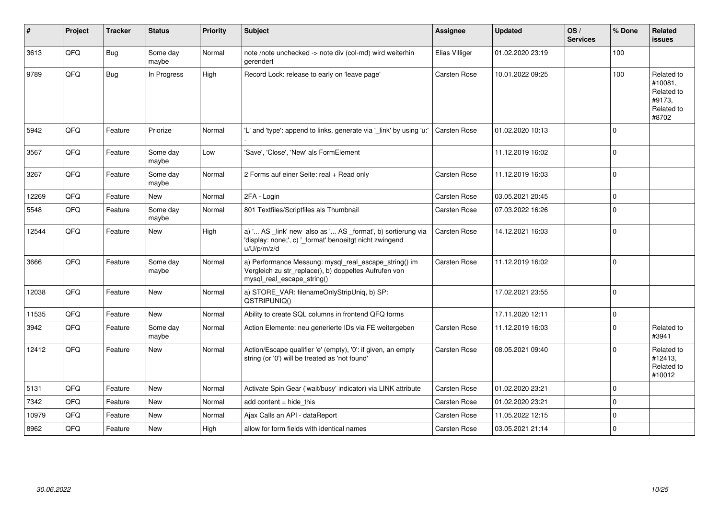| $\vert$ # | Project | <b>Tracker</b> | <b>Status</b>     | <b>Priority</b> | <b>Subject</b>                                                                                                                               | Assignee       | <b>Updated</b>   | OS/<br><b>Services</b> | % Done         | Related<br>issues                                                    |
|-----------|---------|----------------|-------------------|-----------------|----------------------------------------------------------------------------------------------------------------------------------------------|----------------|------------------|------------------------|----------------|----------------------------------------------------------------------|
| 3613      | QFQ     | <b>Bug</b>     | Some day<br>maybe | Normal          | note /note unchecked -> note div (col-md) wird weiterhin<br>gerendert                                                                        | Elias Villiger | 01.02.2020 23:19 |                        | 100            |                                                                      |
| 9789      | QFQ     | <b>Bug</b>     | In Progress       | High            | Record Lock: release to early on 'leave page'                                                                                                | Carsten Rose   | 10.01.2022 09:25 |                        | 100            | Related to<br>#10081.<br>Related to<br>#9173,<br>Related to<br>#8702 |
| 5942      | QFQ     | Feature        | Priorize          | Normal          | 'L' and 'type': append to links, generate via '_link' by using 'u:'                                                                          | Carsten Rose   | 01.02.2020 10:13 |                        | $\Omega$       |                                                                      |
| 3567      | QFQ     | Feature        | Some day<br>maybe | Low             | 'Save', 'Close', 'New' als FormElement                                                                                                       |                | 11.12.2019 16:02 |                        | $\overline{0}$ |                                                                      |
| 3267      | QFQ     | Feature        | Some day<br>maybe | Normal          | 2 Forms auf einer Seite: real + Read only                                                                                                    | Carsten Rose   | 11.12.2019 16:03 |                        | $\overline{0}$ |                                                                      |
| 12269     | QFQ     | Feature        | <b>New</b>        | Normal          | 2FA - Login                                                                                                                                  | Carsten Rose   | 03.05.2021 20:45 |                        | $\mathbf 0$    |                                                                      |
| 5548      | QFQ     | Feature        | Some day<br>maybe | Normal          | 801 Textfiles/Scriptfiles als Thumbnail                                                                                                      | Carsten Rose   | 07.03.2022 16:26 |                        | $\mathbf 0$    |                                                                      |
| 12544     | QFQ     | Feature        | New               | High            | a) ' AS _link' new also as ' AS _format', b) sortierung via<br>'display: none;', c) '_format' benoeitgt nicht zwingend<br>u/U/p/m/z/d        | Carsten Rose   | 14.12.2021 16:03 |                        | $\overline{0}$ |                                                                      |
| 3666      | QFQ     | Feature        | Some day<br>maybe | Normal          | a) Performance Messung: mysql_real_escape_string() im<br>Vergleich zu str_replace(), b) doppeltes Aufrufen von<br>mysql_real_escape_string() | Carsten Rose   | 11.12.2019 16:02 |                        | $\overline{0}$ |                                                                      |
| 12038     | QFQ     | Feature        | <b>New</b>        | Normal          | a) STORE_VAR: filenameOnlyStripUniq, b) SP:<br>QSTRIPUNIQ()                                                                                  |                | 17.02.2021 23:55 |                        | $\overline{0}$ |                                                                      |
| 11535     | QFQ     | Feature        | <b>New</b>        | Normal          | Ability to create SQL columns in frontend QFQ forms                                                                                          |                | 17.11.2020 12:11 |                        | 0              |                                                                      |
| 3942      | QFQ     | Feature        | Some day<br>maybe | Normal          | Action Elemente: neu generierte IDs via FE weitergeben                                                                                       | Carsten Rose   | 11.12.2019 16:03 |                        | $\Omega$       | Related to<br>#3941                                                  |
| 12412     | QFQ     | Feature        | <b>New</b>        | Normal          | Action/Escape qualifier 'e' (empty), '0': if given, an empty<br>string (or '0') will be treated as 'not found'                               | Carsten Rose   | 08.05.2021 09:40 |                        | $\Omega$       | Related to<br>#12413.<br>Related to<br>#10012                        |
| 5131      | QFQ     | Feature        | <b>New</b>        | Normal          | Activate Spin Gear ('wait/busy' indicator) via LINK attribute                                                                                | Carsten Rose   | 01.02.2020 23:21 |                        | $\mathbf 0$    |                                                                      |
| 7342      | QFQ     | Feature        | New               | Normal          | add content $=$ hide this                                                                                                                    | Carsten Rose   | 01.02.2020 23:21 |                        | $\mathbf 0$    |                                                                      |
| 10979     | QFQ     | Feature        | New               | Normal          | Ajax Calls an API - dataReport                                                                                                               | Carsten Rose   | 11.05.2022 12:15 |                        | $\mathbf 0$    |                                                                      |
| 8962      | QFQ     | Feature        | New               | High            | allow for form fields with identical names                                                                                                   | Carsten Rose   | 03.05.2021 21:14 |                        | $\Omega$       |                                                                      |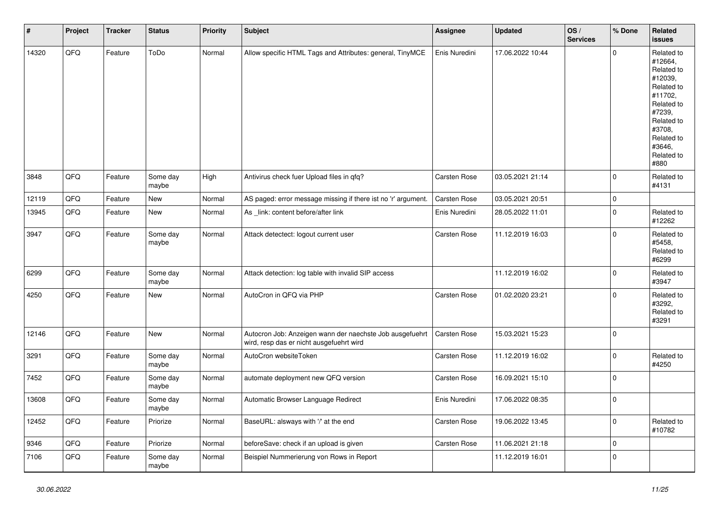| $\vert$ # | Project | <b>Tracker</b> | <b>Status</b>     | <b>Priority</b> | <b>Subject</b>                                                                                       | Assignee      | <b>Updated</b>   | OS/<br><b>Services</b> | % Done         | Related<br><b>issues</b>                                                                                                                                              |
|-----------|---------|----------------|-------------------|-----------------|------------------------------------------------------------------------------------------------------|---------------|------------------|------------------------|----------------|-----------------------------------------------------------------------------------------------------------------------------------------------------------------------|
| 14320     | QFQ     | Feature        | ToDo              | Normal          | Allow specific HTML Tags and Attributes: general, TinyMCE                                            | Enis Nuredini | 17.06.2022 10:44 |                        | $\Omega$       | Related to<br>#12664,<br>Related to<br>#12039,<br>Related to<br>#11702,<br>Related to<br>#7239,<br>Related to<br>#3708,<br>Related to<br>#3646,<br>Related to<br>#880 |
| 3848      | QFQ     | Feature        | Some day<br>maybe | High            | Antivirus check fuer Upload files in qfq?                                                            | Carsten Rose  | 03.05.2021 21:14 |                        | $\mathbf 0$    | Related to<br>#4131                                                                                                                                                   |
| 12119     | QFQ     | Feature        | <b>New</b>        | Normal          | AS paged: error message missing if there ist no 'r' argument.                                        | Carsten Rose  | 03.05.2021 20:51 |                        | $\mathbf 0$    |                                                                                                                                                                       |
| 13945     | QFQ     | Feature        | New               | Normal          | As _link: content before/after link                                                                  | Enis Nuredini | 28.05.2022 11:01 |                        | $\mathbf 0$    | Related to<br>#12262                                                                                                                                                  |
| 3947      | QFQ     | Feature        | Some day<br>maybe | Normal          | Attack detectect: logout current user                                                                | Carsten Rose  | 11.12.2019 16:03 |                        | $\Omega$       | Related to<br>#5458,<br>Related to<br>#6299                                                                                                                           |
| 6299      | QFQ     | Feature        | Some day<br>maybe | Normal          | Attack detection: log table with invalid SIP access                                                  |               | 11.12.2019 16:02 |                        | $\mathbf 0$    | Related to<br>#3947                                                                                                                                                   |
| 4250      | QFQ     | Feature        | <b>New</b>        | Normal          | AutoCron in QFQ via PHP                                                                              | Carsten Rose  | 01.02.2020 23:21 |                        | $\mathbf 0$    | Related to<br>#3292,<br>Related to<br>#3291                                                                                                                           |
| 12146     | QFQ     | Feature        | <b>New</b>        | Normal          | Autocron Job: Anzeigen wann der naechste Job ausgefuehrt<br>wird, resp das er nicht ausgefuehrt wird | Carsten Rose  | 15.03.2021 15:23 |                        | $\overline{0}$ |                                                                                                                                                                       |
| 3291      | QFQ     | Feature        | Some day<br>maybe | Normal          | AutoCron websiteToken                                                                                | Carsten Rose  | 11.12.2019 16:02 |                        | $\mathbf 0$    | Related to<br>#4250                                                                                                                                                   |
| 7452      | QFQ     | Feature        | Some day<br>maybe | Normal          | automate deployment new QFQ version                                                                  | Carsten Rose  | 16.09.2021 15:10 |                        | $\mathbf 0$    |                                                                                                                                                                       |
| 13608     | QFQ     | Feature        | Some day<br>maybe | Normal          | Automatic Browser Language Redirect                                                                  | Enis Nuredini | 17.06.2022 08:35 |                        | $\mathbf 0$    |                                                                                                                                                                       |
| 12452     | QFQ     | Feature        | Priorize          | Normal          | BaseURL: alsways with '/' at the end                                                                 | Carsten Rose  | 19.06.2022 13:45 |                        | $\mathbf 0$    | Related to<br>#10782                                                                                                                                                  |
| 9346      | QFQ     | Feature        | Priorize          | Normal          | beforeSave: check if an upload is given                                                              | Carsten Rose  | 11.06.2021 21:18 |                        | $\mathbf 0$    |                                                                                                                                                                       |
| 7106      | QFQ     | Feature        | Some day<br>maybe | Normal          | Beispiel Nummerierung von Rows in Report                                                             |               | 11.12.2019 16:01 |                        | $\mathbf 0$    |                                                                                                                                                                       |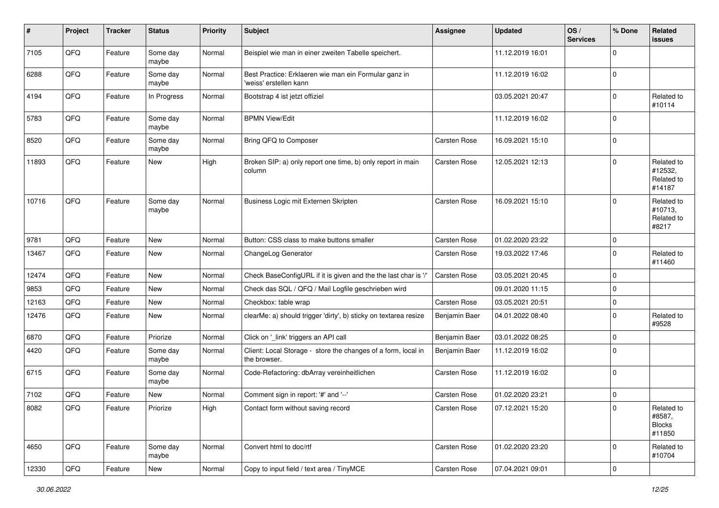| #     | Project | <b>Tracker</b> | <b>Status</b>     | <b>Priority</b> | <b>Subject</b>                                                                  | <b>Assignee</b>     | <b>Updated</b>   | OS/<br><b>Services</b> | % Done      | Related<br><b>issues</b>                        |
|-------|---------|----------------|-------------------|-----------------|---------------------------------------------------------------------------------|---------------------|------------------|------------------------|-------------|-------------------------------------------------|
| 7105  | QFQ     | Feature        | Some day<br>maybe | Normal          | Beispiel wie man in einer zweiten Tabelle speichert.                            |                     | 11.12.2019 16:01 |                        | $\mathbf 0$ |                                                 |
| 6288  | QFQ     | Feature        | Some day<br>maybe | Normal          | Best Practice: Erklaeren wie man ein Formular ganz in<br>'weiss' erstellen kann |                     | 11.12.2019 16:02 |                        | $\mathbf 0$ |                                                 |
| 4194  | QFQ     | Feature        | In Progress       | Normal          | Bootstrap 4 ist jetzt offiziel                                                  |                     | 03.05.2021 20:47 |                        | $\mathbf 0$ | Related to<br>#10114                            |
| 5783  | QFQ     | Feature        | Some day<br>maybe | Normal          | <b>BPMN View/Edit</b>                                                           |                     | 11.12.2019 16:02 |                        | $\mathbf 0$ |                                                 |
| 8520  | QFQ     | Feature        | Some day<br>maybe | Normal          | Bring QFQ to Composer                                                           | Carsten Rose        | 16.09.2021 15:10 |                        | $\mathbf 0$ |                                                 |
| 11893 | QFQ     | Feature        | New               | High            | Broken SIP: a) only report one time, b) only report in main<br>column           | Carsten Rose        | 12.05.2021 12:13 |                        | $\mathbf 0$ | Related to<br>#12532,<br>Related to<br>#14187   |
| 10716 | QFQ     | Feature        | Some day<br>maybe | Normal          | Business Logic mit Externen Skripten                                            | Carsten Rose        | 16.09.2021 15:10 |                        | $\mathbf 0$ | Related to<br>#10713,<br>Related to<br>#8217    |
| 9781  | QFQ     | Feature        | New               | Normal          | Button: CSS class to make buttons smaller                                       | Carsten Rose        | 01.02.2020 23:22 |                        | $\mathbf 0$ |                                                 |
| 13467 | QFQ     | Feature        | <b>New</b>        | Normal          | ChangeLog Generator                                                             | <b>Carsten Rose</b> | 19.03.2022 17:46 |                        | $\mathbf 0$ | Related to<br>#11460                            |
| 12474 | QFQ     | Feature        | New               | Normal          | Check BaseConfigURL if it is given and the the last char is '/'                 | Carsten Rose        | 03.05.2021 20:45 |                        | $\mathbf 0$ |                                                 |
| 9853  | QFQ     | Feature        | <b>New</b>        | Normal          | Check das SQL / QFQ / Mail Logfile geschrieben wird                             |                     | 09.01.2020 11:15 |                        | $\mathbf 0$ |                                                 |
| 12163 | QFQ     | Feature        | New               | Normal          | Checkbox: table wrap                                                            | Carsten Rose        | 03.05.2021 20:51 |                        | $\mathbf 0$ |                                                 |
| 12476 | QFQ     | Feature        | New               | Normal          | clearMe: a) should trigger 'dirty', b) sticky on textarea resize                | Benjamin Baer       | 04.01.2022 08:40 |                        | $\mathbf 0$ | Related to<br>#9528                             |
| 6870  | QFQ     | Feature        | Priorize          | Normal          | Click on '_link' triggers an API call                                           | Benjamin Baer       | 03.01.2022 08:25 |                        | $\mathbf 0$ |                                                 |
| 4420  | QFQ     | Feature        | Some day<br>maybe | Normal          | Client: Local Storage - store the changes of a form, local in<br>the browser.   | Benjamin Baer       | 11.12.2019 16:02 |                        | $\mathbf 0$ |                                                 |
| 6715  | QFQ     | Feature        | Some day<br>maybe | Normal          | Code-Refactoring: dbArray vereinheitlichen                                      | Carsten Rose        | 11.12.2019 16:02 |                        | $\mathbf 0$ |                                                 |
| 7102  | QFQ     | Feature        | New               | Normal          | Comment sign in report: '#' and '--'                                            | Carsten Rose        | 01.02.2020 23:21 |                        | $\mathbf 0$ |                                                 |
| 8082  | QFQ     | Feature        | Priorize          | High            | Contact form without saving record                                              | Carsten Rose        | 07.12.2021 15:20 |                        | $\pmb{0}$   | Related to<br>#8587,<br><b>Blocks</b><br>#11850 |
| 4650  | QFQ     | Feature        | Some day<br>maybe | Normal          | Convert html to doc/rtf                                                         | Carsten Rose        | 01.02.2020 23:20 |                        | $\mathbf 0$ | Related to<br>#10704                            |
| 12330 | QFQ     | Feature        | New               | Normal          | Copy to input field / text area / TinyMCE                                       | Carsten Rose        | 07.04.2021 09:01 |                        | 0           |                                                 |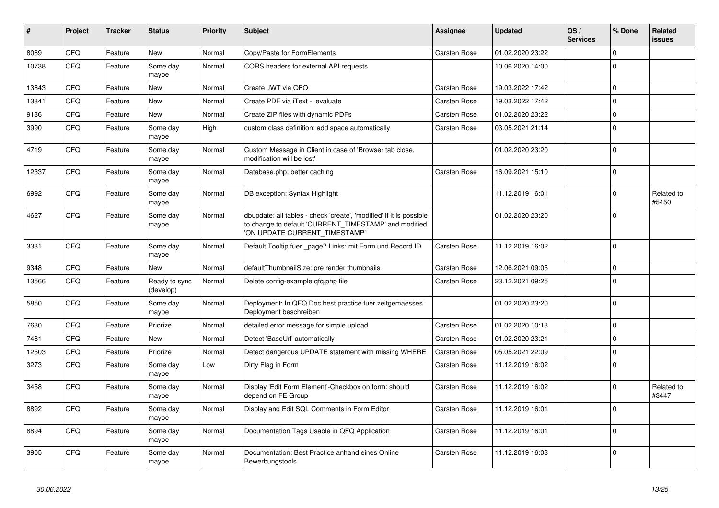| #     | Project | <b>Tracker</b> | <b>Status</b>              | <b>Priority</b> | <b>Subject</b>                                                                                                                                                | Assignee            | <b>Updated</b>   | OS/<br><b>Services</b> | % Done      | Related<br>issues   |
|-------|---------|----------------|----------------------------|-----------------|---------------------------------------------------------------------------------------------------------------------------------------------------------------|---------------------|------------------|------------------------|-------------|---------------------|
| 8089  | QFQ     | Feature        | <b>New</b>                 | Normal          | Copy/Paste for FormElements                                                                                                                                   | Carsten Rose        | 01.02.2020 23:22 |                        | $\Omega$    |                     |
| 10738 | QFQ     | Feature        | Some day<br>maybe          | Normal          | CORS headers for external API requests                                                                                                                        |                     | 10.06.2020 14:00 |                        | $\Omega$    |                     |
| 13843 | QFQ     | Feature        | <b>New</b>                 | Normal          | Create JWT via QFQ                                                                                                                                            | <b>Carsten Rose</b> | 19.03.2022 17:42 |                        | $\Omega$    |                     |
| 13841 | QFQ     | Feature        | <b>New</b>                 | Normal          | Create PDF via iText - evaluate                                                                                                                               | Carsten Rose        | 19.03.2022 17:42 |                        | $\Omega$    |                     |
| 9136  | QFQ     | Feature        | New                        | Normal          | Create ZIP files with dynamic PDFs                                                                                                                            | Carsten Rose        | 01.02.2020 23:22 |                        | $\Omega$    |                     |
| 3990  | QFQ     | Feature        | Some day<br>maybe          | High            | custom class definition: add space automatically                                                                                                              | Carsten Rose        | 03.05.2021 21:14 |                        | $\Omega$    |                     |
| 4719  | QFQ     | Feature        | Some day<br>maybe          | Normal          | Custom Message in Client in case of 'Browser tab close,<br>modification will be lost'                                                                         |                     | 01.02.2020 23:20 |                        | $\Omega$    |                     |
| 12337 | QFQ     | Feature        | Some day<br>maybe          | Normal          | Database.php: better caching                                                                                                                                  | Carsten Rose        | 16.09.2021 15:10 |                        | $\Omega$    |                     |
| 6992  | QFQ     | Feature        | Some day<br>maybe          | Normal          | DB exception: Syntax Highlight                                                                                                                                |                     | 11.12.2019 16:01 |                        | $\Omega$    | Related to<br>#5450 |
| 4627  | QFQ     | Feature        | Some day<br>maybe          | Normal          | dbupdate: all tables - check 'create', 'modified' if it is possible<br>to change to default 'CURRENT TIMESTAMP' and modified<br>'ON UPDATE CURRENT_TIMESTAMP' |                     | 01.02.2020 23:20 |                        | $\Omega$    |                     |
| 3331  | QFQ     | Feature        | Some day<br>maybe          | Normal          | Default Tooltip fuer _page? Links: mit Form und Record ID                                                                                                     | Carsten Rose        | 11.12.2019 16:02 |                        | $\Omega$    |                     |
| 9348  | QFQ     | Feature        | <b>New</b>                 | Normal          | defaultThumbnailSize: pre render thumbnails                                                                                                                   | Carsten Rose        | 12.06.2021 09:05 |                        | $\Omega$    |                     |
| 13566 | QFQ     | Feature        | Ready to sync<br>(develop) | Normal          | Delete config-example.gfg.php file                                                                                                                            | Carsten Rose        | 23.12.2021 09:25 |                        | $\Omega$    |                     |
| 5850  | QFQ     | Feature        | Some day<br>maybe          | Normal          | Deployment: In QFQ Doc best practice fuer zeitgemaesses<br>Deployment beschreiben                                                                             |                     | 01.02.2020 23:20 |                        | $\Omega$    |                     |
| 7630  | QFQ     | Feature        | Priorize                   | Normal          | detailed error message for simple upload                                                                                                                      | Carsten Rose        | 01.02.2020 10:13 |                        | $\Omega$    |                     |
| 7481  | QFQ     | Feature        | New                        | Normal          | Detect 'BaseUrl' automatically                                                                                                                                | Carsten Rose        | 01.02.2020 23:21 |                        | $\Omega$    |                     |
| 12503 | QFQ     | Feature        | Priorize                   | Normal          | Detect dangerous UPDATE statement with missing WHERE                                                                                                          | Carsten Rose        | 05.05.2021 22:09 |                        | $\mathbf 0$ |                     |
| 3273  | QFQ     | Feature        | Some day<br>maybe          | Low             | Dirty Flag in Form                                                                                                                                            | Carsten Rose        | 11.12.2019 16:02 |                        | $\mathbf 0$ |                     |
| 3458  | QFQ     | Feature        | Some day<br>maybe          | Normal          | Display 'Edit Form Element'-Checkbox on form: should<br>depend on FE Group                                                                                    | Carsten Rose        | 11.12.2019 16:02 |                        | $\Omega$    | Related to<br>#3447 |
| 8892  | QFQ     | Feature        | Some day<br>maybe          | Normal          | Display and Edit SQL Comments in Form Editor                                                                                                                  | Carsten Rose        | 11.12.2019 16:01 |                        | $\Omega$    |                     |
| 8894  | QFQ     | Feature        | Some day<br>maybe          | Normal          | Documentation Tags Usable in QFQ Application                                                                                                                  | Carsten Rose        | 11.12.2019 16:01 |                        | $\Omega$    |                     |
| 3905  | QFQ     | Feature        | Some day<br>maybe          | Normal          | Documentation: Best Practice anhand eines Online<br>Bewerbungstools                                                                                           | Carsten Rose        | 11.12.2019 16:03 |                        | $\Omega$    |                     |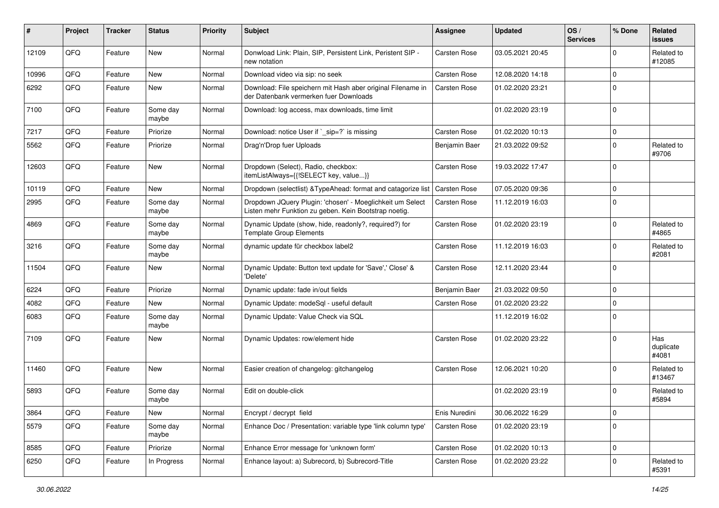| ∦     | Project | <b>Tracker</b> | <b>Status</b>     | <b>Priority</b> | <b>Subject</b>                                                                                                     | <b>Assignee</b>     | <b>Updated</b>   | OS/<br><b>Services</b> | % Done      | Related<br><b>issues</b>  |
|-------|---------|----------------|-------------------|-----------------|--------------------------------------------------------------------------------------------------------------------|---------------------|------------------|------------------------|-------------|---------------------------|
| 12109 | QFQ     | Feature        | <b>New</b>        | Normal          | Donwload Link: Plain, SIP, Persistent Link, Peristent SIP -<br>new notation                                        | Carsten Rose        | 03.05.2021 20:45 |                        | $\Omega$    | Related to<br>#12085      |
| 10996 | QFQ     | Feature        | New               | Normal          | Download video via sip: no seek                                                                                    | Carsten Rose        | 12.08.2020 14:18 |                        | $\Omega$    |                           |
| 6292  | QFQ     | Feature        | <b>New</b>        | Normal          | Download: File speichern mit Hash aber original Filename in<br>der Datenbank vermerken fuer Downloads              | Carsten Rose        | 01.02.2020 23:21 |                        | $\Omega$    |                           |
| 7100  | QFQ     | Feature        | Some day<br>maybe | Normal          | Download: log access, max downloads, time limit                                                                    |                     | 01.02.2020 23:19 |                        | $\mathbf 0$ |                           |
| 7217  | QFQ     | Feature        | Priorize          | Normal          | Download: notice User if `_sip=?` is missing                                                                       | Carsten Rose        | 01.02.2020 10:13 |                        | $\mathbf 0$ |                           |
| 5562  | QFQ     | Feature        | Priorize          | Normal          | Drag'n'Drop fuer Uploads                                                                                           | Benjamin Baer       | 21.03.2022 09:52 |                        | $\mathbf 0$ | Related to<br>#9706       |
| 12603 | QFQ     | Feature        | <b>New</b>        | Normal          | Dropdown (Select), Radio, checkbox:<br>itemListAlways={{!SELECT key, value}}                                       | Carsten Rose        | 19.03.2022 17:47 |                        | $\mathbf 0$ |                           |
| 10119 | QFQ     | Feature        | <b>New</b>        | Normal          | Dropdown (selectlist) & TypeAhead: format and catagorize list                                                      | <b>Carsten Rose</b> | 07.05.2020 09:36 |                        | $\Omega$    |                           |
| 2995  | QFQ     | Feature        | Some day<br>maybe | Normal          | Dropdown JQuery Plugin: 'chosen' - Moeglichkeit um Select<br>Listen mehr Funktion zu geben. Kein Bootstrap noetig. | Carsten Rose        | 11.12.2019 16:03 |                        | $\mathbf 0$ |                           |
| 4869  | QFQ     | Feature        | Some day<br>maybe | Normal          | Dynamic Update (show, hide, readonly?, required?) for<br><b>Template Group Elements</b>                            | Carsten Rose        | 01.02.2020 23:19 |                        | $\Omega$    | Related to<br>#4865       |
| 3216  | QFQ     | Feature        | Some day<br>maybe | Normal          | dynamic update für checkbox label2                                                                                 | Carsten Rose        | 11.12.2019 16:03 |                        | $\Omega$    | Related to<br>#2081       |
| 11504 | QFQ     | Feature        | New               | Normal          | Dynamic Update: Button text update for 'Save',' Close' &<br>'Delete'                                               | Carsten Rose        | 12.11.2020 23:44 |                        | $\mathbf 0$ |                           |
| 6224  | QFQ     | Feature        | Priorize          | Normal          | Dynamic update: fade in/out fields                                                                                 | Benjamin Baer       | 21.03.2022 09:50 |                        | $\Omega$    |                           |
| 4082  | QFQ     | Feature        | <b>New</b>        | Normal          | Dynamic Update: modeSql - useful default                                                                           | Carsten Rose        | 01.02.2020 23:22 |                        | $\Omega$    |                           |
| 6083  | QFQ     | Feature        | Some day<br>maybe | Normal          | Dynamic Update: Value Check via SQL                                                                                |                     | 11.12.2019 16:02 |                        | $\Omega$    |                           |
| 7109  | QFQ     | Feature        | <b>New</b>        | Normal          | Dynamic Updates: row/element hide                                                                                  | Carsten Rose        | 01.02.2020 23:22 |                        | $\Omega$    | Has<br>duplicate<br>#4081 |
| 11460 | QFQ     | Feature        | New               | Normal          | Easier creation of changelog: gitchangelog                                                                         | Carsten Rose        | 12.06.2021 10:20 |                        | $\Omega$    | Related to<br>#13467      |
| 5893  | QFQ     | Feature        | Some day<br>maybe | Normal          | Edit on double-click                                                                                               |                     | 01.02.2020 23:19 |                        | $\Omega$    | Related to<br>#5894       |
| 3864  | QFG     | Feature        | New               | Normal          | Encrypt / decrypt field                                                                                            | Enis Nuredini       | 30.06.2022 16:29 |                        | 0           |                           |
| 5579  | QFQ     | Feature        | Some day<br>maybe | Normal          | Enhance Doc / Presentation: variable type 'link column type'                                                       | Carsten Rose        | 01.02.2020 23:19 |                        | 0           |                           |
| 8585  | QFQ     | Feature        | Priorize          | Normal          | Enhance Error message for 'unknown form'                                                                           | Carsten Rose        | 01.02.2020 10:13 |                        | $\mathbf 0$ |                           |
| 6250  | QFQ     | Feature        | In Progress       | Normal          | Enhance layout: a) Subrecord, b) Subrecord-Title                                                                   | Carsten Rose        | 01.02.2020 23:22 |                        | 0           | Related to<br>#5391       |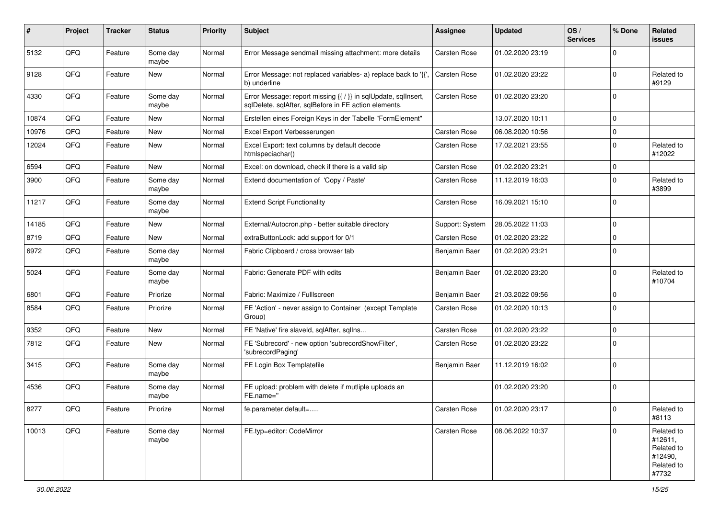| #     | Project | <b>Tracker</b> | <b>Status</b>     | <b>Priority</b> | Subject                                                                                                                 | Assignee        | <b>Updated</b>   | OS/<br><b>Services</b> | % Done      | Related<br><b>issues</b>                                              |
|-------|---------|----------------|-------------------|-----------------|-------------------------------------------------------------------------------------------------------------------------|-----------------|------------------|------------------------|-------------|-----------------------------------------------------------------------|
| 5132  | QFQ     | Feature        | Some day<br>maybe | Normal          | Error Message sendmail missing attachment: more details                                                                 | Carsten Rose    | 01.02.2020 23:19 |                        | $\mathbf 0$ |                                                                       |
| 9128  | QFQ     | Feature        | New               | Normal          | Error Message: not replaced variables- a) replace back to '{{',<br>b) underline                                         | Carsten Rose    | 01.02.2020 23:22 |                        | $\mathbf 0$ | Related to<br>#9129                                                   |
| 4330  | QFQ     | Feature        | Some day<br>maybe | Normal          | Error Message: report missing {{ / }} in sqlUpdate, sqlInsert,<br>sqlDelete, sqlAfter, sqlBefore in FE action elements. | Carsten Rose    | 01.02.2020 23:20 |                        | $\Omega$    |                                                                       |
| 10874 | QFQ     | Feature        | <b>New</b>        | Normal          | Erstellen eines Foreign Keys in der Tabelle "FormElement"                                                               |                 | 13.07.2020 10:11 |                        | $\mathbf 0$ |                                                                       |
| 10976 | QFQ     | Feature        | <b>New</b>        | Normal          | Excel Export Verbesserungen                                                                                             | Carsten Rose    | 06.08.2020 10:56 |                        | $\Omega$    |                                                                       |
| 12024 | QFQ     | Feature        | <b>New</b>        | Normal          | Excel Export: text columns by default decode<br>htmlspeciachar()                                                        | Carsten Rose    | 17.02.2021 23:55 |                        | $\mathbf 0$ | Related to<br>#12022                                                  |
| 6594  | QFQ     | Feature        | <b>New</b>        | Normal          | Excel: on download, check if there is a valid sip                                                                       | Carsten Rose    | 01.02.2020 23:21 |                        | $\mathbf 0$ |                                                                       |
| 3900  | QFQ     | Feature        | Some day<br>maybe | Normal          | Extend documentation of 'Copy / Paste'                                                                                  | Carsten Rose    | 11.12.2019 16:03 |                        | $\mathbf 0$ | Related to<br>#3899                                                   |
| 11217 | QFQ     | Feature        | Some day<br>maybe | Normal          | <b>Extend Script Functionality</b>                                                                                      | Carsten Rose    | 16.09.2021 15:10 |                        | 0           |                                                                       |
| 14185 | QFQ     | Feature        | New               | Normal          | External/Autocron.php - better suitable directory                                                                       | Support: System | 28.05.2022 11:03 |                        | $\mathbf 0$ |                                                                       |
| 8719  | QFQ     | Feature        | <b>New</b>        | Normal          | extraButtonLock: add support for 0/1                                                                                    | Carsten Rose    | 01.02.2020 23:22 |                        | $\mathbf 0$ |                                                                       |
| 6972  | QFQ     | Feature        | Some day<br>maybe | Normal          | Fabric Clipboard / cross browser tab                                                                                    | Benjamin Baer   | 01.02.2020 23:21 |                        | 0           |                                                                       |
| 5024  | QFQ     | Feature        | Some day<br>maybe | Normal          | Fabric: Generate PDF with edits                                                                                         | Benjamin Baer   | 01.02.2020 23:20 |                        | $\mathbf 0$ | Related to<br>#10704                                                  |
| 6801  | QFQ     | Feature        | Priorize          | Normal          | Fabric: Maximize / FullIscreen                                                                                          | Benjamin Baer   | 21.03.2022 09:56 |                        | $\mathbf 0$ |                                                                       |
| 8584  | QFQ     | Feature        | Priorize          | Normal          | FE 'Action' - never assign to Container (except Template<br>Group)                                                      | Carsten Rose    | 01.02.2020 10:13 |                        | 0           |                                                                       |
| 9352  | QFQ     | Feature        | <b>New</b>        | Normal          | FE 'Native' fire slaveld, sqlAfter, sqlIns                                                                              | Carsten Rose    | 01.02.2020 23:22 |                        | $\mathbf 0$ |                                                                       |
| 7812  | QFQ     | Feature        | New               | Normal          | FE 'Subrecord' - new option 'subrecordShowFilter',<br>'subrecordPaging'                                                 | Carsten Rose    | 01.02.2020 23:22 |                        | $\mathbf 0$ |                                                                       |
| 3415  | QFQ     | Feature        | Some day<br>maybe | Normal          | FE Login Box Templatefile                                                                                               | Benjamin Baer   | 11.12.2019 16:02 |                        | $\mathbf 0$ |                                                                       |
| 4536  | QFQ     | Feature        | Some day<br>maybe | Normal          | FE upload: problem with delete if mutliple uploads an<br>FE.name="                                                      |                 | 01.02.2020 23:20 |                        | $\mathbf 0$ |                                                                       |
| 8277  | QFQ     | Feature        | Priorize          | Normal          | fe.parameter.default=                                                                                                   | Carsten Rose    | 01.02.2020 23:17 |                        | 0           | Related to<br>#8113                                                   |
| 10013 | QFQ     | Feature        | Some day<br>maybe | Normal          | FE.typ=editor: CodeMirror                                                                                               | Carsten Rose    | 08.06.2022 10:37 |                        | $\mathbf 0$ | Related to<br>#12611,<br>Related to<br>#12490,<br>Related to<br>#7732 |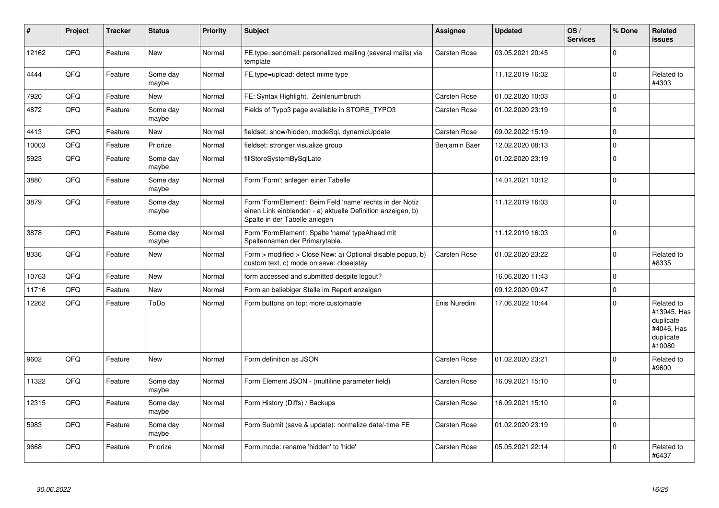| #     | Project | <b>Tracker</b> | <b>Status</b>     | <b>Priority</b> | <b>Subject</b>                                                                                                                                           | Assignee      | <b>Updated</b>   | OS/<br><b>Services</b> | % Done      | Related<br>issues                                                           |
|-------|---------|----------------|-------------------|-----------------|----------------------------------------------------------------------------------------------------------------------------------------------------------|---------------|------------------|------------------------|-------------|-----------------------------------------------------------------------------|
| 12162 | QFQ     | Feature        | <b>New</b>        | Normal          | FE.type=sendmail: personalized mailing (several mails) via<br>template                                                                                   | Carsten Rose  | 03.05.2021 20:45 |                        | $\Omega$    |                                                                             |
| 4444  | QFQ     | Feature        | Some day<br>maybe | Normal          | FE.type=upload: detect mime type                                                                                                                         |               | 11.12.2019 16:02 |                        | $\Omega$    | Related to<br>#4303                                                         |
| 7920  | QFQ     | Feature        | New               | Normal          | FE: Syntax Highlight, Zeinlenumbruch                                                                                                                     | Carsten Rose  | 01.02.2020 10:03 |                        | $\mathbf 0$ |                                                                             |
| 4872  | QFQ     | Feature        | Some day<br>maybe | Normal          | Fields of Typo3 page available in STORE_TYPO3                                                                                                            | Carsten Rose  | 01.02.2020 23:19 |                        | $\Omega$    |                                                                             |
| 4413  | QFQ     | Feature        | <b>New</b>        | Normal          | fieldset: show/hidden, modeSql, dynamicUpdate                                                                                                            | Carsten Rose  | 09.02.2022 15:19 |                        | $\mathbf 0$ |                                                                             |
| 10003 | QFQ     | Feature        | Priorize          | Normal          | fieldset: stronger visualize group                                                                                                                       | Benjamin Baer | 12.02.2020 08:13 |                        | $\Omega$    |                                                                             |
| 5923  | QFQ     | Feature        | Some day<br>maybe | Normal          | fillStoreSystemBySqlLate                                                                                                                                 |               | 01.02.2020 23:19 |                        | $\Omega$    |                                                                             |
| 3880  | QFQ     | Feature        | Some day<br>maybe | Normal          | Form 'Form': anlegen einer Tabelle                                                                                                                       |               | 14.01.2021 10:12 |                        | $\Omega$    |                                                                             |
| 3879  | QFQ     | Feature        | Some day<br>maybe | Normal          | Form 'FormElement': Beim Feld 'name' rechts in der Notiz<br>einen Link einblenden - a) aktuelle Definition anzeigen, b)<br>Spalte in der Tabelle anlegen |               | 11.12.2019 16:03 |                        | $\mathbf 0$ |                                                                             |
| 3878  | QFQ     | Feature        | Some day<br>maybe | Normal          | Form 'FormElement': Spalte 'name' typeAhead mit<br>Spaltennamen der Primarytable.                                                                        |               | 11.12.2019 16:03 |                        | $\Omega$    |                                                                             |
| 8336  | QFQ     | Feature        | <b>New</b>        | Normal          | Form > modified > Close New: a) Optional disable popup, b)<br>custom text, c) mode on save: close stay                                                   | Carsten Rose  | 01.02.2020 23:22 |                        | $\Omega$    | Related to<br>#8335                                                         |
| 10763 | QFQ     | Feature        | <b>New</b>        | Normal          | form accessed and submitted despite logout?                                                                                                              |               | 16.06.2020 11:43 |                        | $\Omega$    |                                                                             |
| 11716 | QFQ     | Feature        | <b>New</b>        | Normal          | Form an beliebiger Stelle im Report anzeigen                                                                                                             |               | 09.12.2020 09:47 |                        | $\Omega$    |                                                                             |
| 12262 | QFQ     | Feature        | ToDo              | Normal          | Form buttons on top: more customable                                                                                                                     | Enis Nuredini | 17.06.2022 10:44 |                        | $\Omega$    | Related to<br>#13945, Has<br>duplicate<br>#4046, Has<br>duplicate<br>#10080 |
| 9602  | QFQ     | Feature        | <b>New</b>        | Normal          | Form definition as JSON                                                                                                                                  | Carsten Rose  | 01.02.2020 23:21 |                        | $\Omega$    | Related to<br>#9600                                                         |
| 11322 | QFQ     | Feature        | Some day<br>maybe | Normal          | Form Element JSON - (multiline parameter field)                                                                                                          | Carsten Rose  | 16.09.2021 15:10 |                        | $\Omega$    |                                                                             |
| 12315 | QFQ     | Feature        | Some day<br>maybe | Normal          | Form History (Diffs) / Backups                                                                                                                           | Carsten Rose  | 16.09.2021 15:10 |                        | $\Omega$    |                                                                             |
| 5983  | QFQ     | Feature        | Some day<br>maybe | Normal          | Form Submit (save & update): normalize date/-time FE                                                                                                     | Carsten Rose  | 01.02.2020 23:19 |                        | $\mathbf 0$ |                                                                             |
| 9668  | QFQ     | Feature        | Priorize          | Normal          | Form.mode: rename 'hidden' to 'hide'                                                                                                                     | Carsten Rose  | 05.05.2021 22:14 |                        | $\Omega$    | Related to<br>#6437                                                         |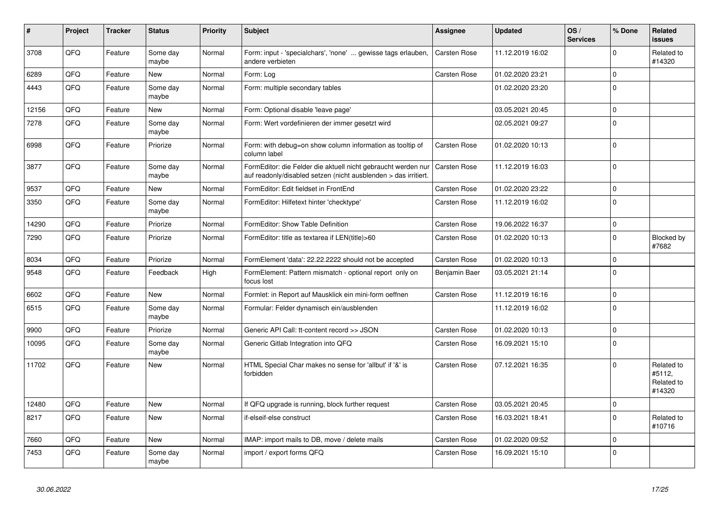| #     | Project | <b>Tracker</b> | <b>Status</b>     | <b>Priority</b> | <b>Subject</b>                                                                                                                   | Assignee            | <b>Updated</b>   | OS/<br><b>Services</b> | % Done       | Related<br><b>issues</b>                     |
|-------|---------|----------------|-------------------|-----------------|----------------------------------------------------------------------------------------------------------------------------------|---------------------|------------------|------------------------|--------------|----------------------------------------------|
| 3708  | QFQ     | Feature        | Some day<br>maybe | Normal          | Form: input - 'specialchars', 'none'  gewisse tags erlauben,<br>andere verbieten                                                 | Carsten Rose        | 11.12.2019 16:02 |                        | $\Omega$     | Related to<br>#14320                         |
| 6289  | QFQ     | Feature        | <b>New</b>        | Normal          | Form: Log                                                                                                                        | Carsten Rose        | 01.02.2020 23:21 |                        | $\mathbf 0$  |                                              |
| 4443  | QFQ     | Feature        | Some day<br>maybe | Normal          | Form: multiple secondary tables                                                                                                  |                     | 01.02.2020 23:20 |                        | $\Omega$     |                                              |
| 12156 | QFQ     | Feature        | <b>New</b>        | Normal          | Form: Optional disable 'leave page'                                                                                              |                     | 03.05.2021 20:45 |                        | $\Omega$     |                                              |
| 7278  | QFQ     | Feature        | Some day<br>maybe | Normal          | Form: Wert vordefinieren der immer gesetzt wird                                                                                  |                     | 02.05.2021 09:27 |                        | $\Omega$     |                                              |
| 6998  | QFQ     | Feature        | Priorize          | Normal          | Form: with debug=on show column information as tooltip of<br>column label                                                        | Carsten Rose        | 01.02.2020 10:13 |                        | $\Omega$     |                                              |
| 3877  | QFQ     | Feature        | Some day<br>maybe | Normal          | FormEditor: die Felder die aktuell nicht gebraucht werden nur<br>auf readonly/disabled setzen (nicht ausblenden > das irritiert. | Carsten Rose        | 11.12.2019 16:03 |                        | $\Omega$     |                                              |
| 9537  | QFQ     | Feature        | <b>New</b>        | Normal          | FormEditor: Edit fieldset in FrontEnd                                                                                            | Carsten Rose        | 01.02.2020 23:22 |                        | $\mathbf{0}$ |                                              |
| 3350  | QFQ     | Feature        | Some day<br>maybe | Normal          | FormEditor: Hilfetext hinter 'checktype'                                                                                         | Carsten Rose        | 11.12.2019 16:02 |                        | $\Omega$     |                                              |
| 14290 | QFQ     | Feature        | Priorize          | Normal          | FormEditor: Show Table Definition                                                                                                | Carsten Rose        | 19.06.2022 16:37 |                        | $\Omega$     |                                              |
| 7290  | QFQ     | Feature        | Priorize          | Normal          | FormEditor: title as textarea if LEN(title)>60                                                                                   | Carsten Rose        | 01.02.2020 10:13 |                        | $\Omega$     | Blocked by<br>#7682                          |
| 8034  | QFQ     | Feature        | Priorize          | Normal          | FormElement 'data': 22.22.2222 should not be accepted                                                                            | Carsten Rose        | 01.02.2020 10:13 |                        | $\mathbf 0$  |                                              |
| 9548  | QFQ     | Feature        | Feedback          | High            | FormElement: Pattern mismatch - optional report only on<br>focus lost                                                            | Benjamin Baer       | 03.05.2021 21:14 |                        | $\Omega$     |                                              |
| 6602  | QFQ     | Feature        | <b>New</b>        | Normal          | Formlet: in Report auf Mausklick ein mini-form oeffnen                                                                           | <b>Carsten Rose</b> | 11.12.2019 16:16 |                        | $\Omega$     |                                              |
| 6515  | QFQ     | Feature        | Some day<br>maybe | Normal          | Formular: Felder dynamisch ein/ausblenden                                                                                        |                     | 11.12.2019 16:02 |                        | $\Omega$     |                                              |
| 9900  | QFQ     | Feature        | Priorize          | Normal          | Generic API Call: tt-content record >> JSON                                                                                      | <b>Carsten Rose</b> | 01.02.2020 10:13 |                        | $\Omega$     |                                              |
| 10095 | QFG     | Feature        | Some day<br>maybe | Normal          | Generic Gitlab Integration into QFQ                                                                                              | Carsten Rose        | 16.09.2021 15:10 |                        | $\Omega$     |                                              |
| 11702 | QFQ     | Feature        | <b>New</b>        | Normal          | HTML Special Char makes no sense for 'allbut' if '&' is<br>forbidden                                                             | Carsten Rose        | 07.12.2021 16:35 |                        | $\Omega$     | Related to<br>#5112,<br>Related to<br>#14320 |
| 12480 | QFQ     | Feature        | <b>New</b>        | Normal          | If QFQ upgrade is running, block further request                                                                                 | Carsten Rose        | 03.05.2021 20:45 |                        | $\Omega$     |                                              |
| 8217  | QFQ     | Feature        | <b>New</b>        | Normal          | if-elseif-else construct                                                                                                         | Carsten Rose        | 16.03.2021 18:41 |                        | $\Omega$     | Related to<br>#10716                         |
| 7660  | QFQ     | Feature        | <b>New</b>        | Normal          | IMAP: import mails to DB, move / delete mails                                                                                    | Carsten Rose        | 01.02.2020 09:52 |                        | $\Omega$     |                                              |
| 7453  | QFQ     | Feature        | Some day<br>maybe | Normal          | import / export forms QFQ                                                                                                        | Carsten Rose        | 16.09.2021 15:10 |                        | $\mathbf{0}$ |                                              |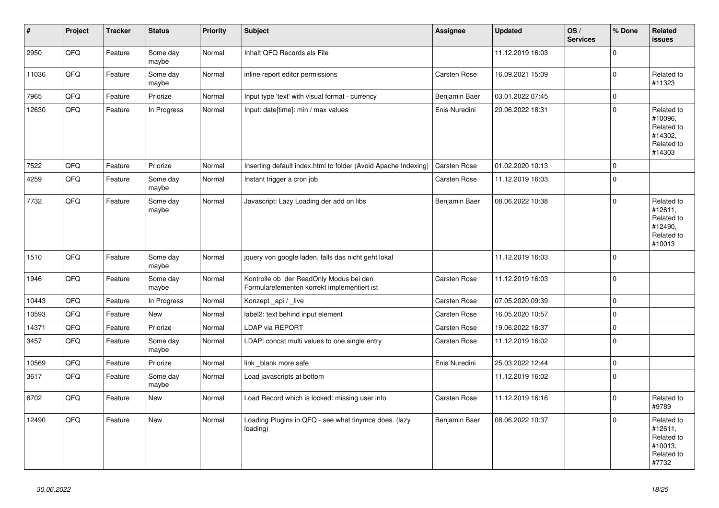| $\vert$ # | Project | <b>Tracker</b> | <b>Status</b>     | <b>Priority</b> | <b>Subject</b>                                                                         | Assignee            | <b>Updated</b>   | OS/<br><b>Services</b> | % Done       | Related<br><b>issues</b>                                               |
|-----------|---------|----------------|-------------------|-----------------|----------------------------------------------------------------------------------------|---------------------|------------------|------------------------|--------------|------------------------------------------------------------------------|
| 2950      | QFQ     | Feature        | Some day<br>maybe | Normal          | Inhalt QFQ Records als File                                                            |                     | 11.12.2019 16:03 |                        | $\Omega$     |                                                                        |
| 11036     | QFQ     | Feature        | Some day<br>maybe | Normal          | inline report editor permissions                                                       | Carsten Rose        | 16.09.2021 15:09 |                        | $\mathbf 0$  | Related to<br>#11323                                                   |
| 7965      | QFQ     | Feature        | Priorize          | Normal          | Input type 'text' with visual format - currency                                        | Benjamin Baer       | 03.01.2022 07:45 |                        | $\mathbf 0$  |                                                                        |
| 12630     | QFQ     | Feature        | In Progress       | Normal          | Input: date[time]: min / max values                                                    | Enis Nuredini       | 20.06.2022 18:31 |                        | $\mathbf 0$  | Related to<br>#10096,<br>Related to<br>#14302,<br>Related to<br>#14303 |
| 7522      | QFQ     | Feature        | Priorize          | Normal          | Inserting default index.html to folder (Avoid Apache Indexing)                         | Carsten Rose        | 01.02.2020 10:13 |                        | $\pmb{0}$    |                                                                        |
| 4259      | QFQ     | Feature        | Some day<br>maybe | Normal          | Instant trigger a cron job                                                             | Carsten Rose        | 11.12.2019 16:03 |                        | $\Omega$     |                                                                        |
| 7732      | QFQ     | Feature        | Some day<br>maybe | Normal          | Javascript: Lazy Loading der add on libs                                               | Benjamin Baer       | 08.06.2022 10:38 |                        | $\mathbf 0$  | Related to<br>#12611,<br>Related to<br>#12490,<br>Related to<br>#10013 |
| 1510      | QFQ     | Feature        | Some day<br>maybe | Normal          | jquery von google laden, falls das nicht geht lokal                                    |                     | 11.12.2019 16:03 |                        | $\mathbf 0$  |                                                                        |
| 1946      | QFQ     | Feature        | Some day<br>maybe | Normal          | Kontrolle ob der ReadOnly Modus bei den<br>Formularelementen korrekt implementiert ist | Carsten Rose        | 11.12.2019 16:03 |                        | $\Omega$     |                                                                        |
| 10443     | QFQ     | Feature        | In Progress       | Normal          | Konzept api / live                                                                     | <b>Carsten Rose</b> | 07.05.2020 09:39 |                        | $\mathbf 0$  |                                                                        |
| 10593     | QFQ     | Feature        | <b>New</b>        | Normal          | label2: text behind input element                                                      | Carsten Rose        | 16.05.2020 10:57 |                        | $\mathbf 0$  |                                                                        |
| 14371     | QFQ     | Feature        | Priorize          | Normal          | LDAP via REPORT                                                                        | Carsten Rose        | 19.06.2022 16:37 |                        | $\pmb{0}$    |                                                                        |
| 3457      | QFQ     | Feature        | Some day<br>maybe | Normal          | LDAP: concat multi values to one single entry                                          | Carsten Rose        | 11.12.2019 16:02 |                        | $\mathbf 0$  |                                                                        |
| 10569     | QFQ     | Feature        | Priorize          | Normal          | link blank more safe                                                                   | Enis Nuredini       | 25.03.2022 12:44 |                        | $\mathbf 0$  |                                                                        |
| 3617      | QFQ     | Feature        | Some day<br>maybe | Normal          | Load javascripts at bottom                                                             |                     | 11.12.2019 16:02 |                        | $\mathbf 0$  |                                                                        |
| 8702      | QFQ     | Feature        | New               | Normal          | Load Record which is locked: missing user info                                         | Carsten Rose        | 11.12.2019 16:16 |                        | $\mathbf{0}$ | Related to<br>#9789                                                    |
| 12490     | QFQ     | Feature        | <b>New</b>        | Normal          | Loading Plugins in QFQ - see what tinymce does. (lazy<br>loading)                      | Benjamin Baer       | 08.06.2022 10:37 |                        | $\mathbf 0$  | Related to<br>#12611,<br>Related to<br>#10013,<br>Related to<br>#7732  |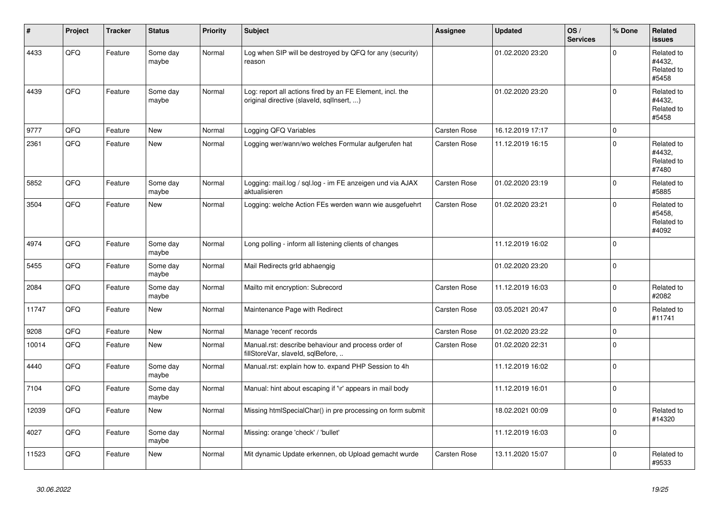| #     | Project | <b>Tracker</b> | <b>Status</b>     | <b>Priority</b> | <b>Subject</b>                                                                                         | Assignee            | <b>Updated</b>   | OS/<br><b>Services</b> | % Done      | Related<br><b>issues</b>                    |
|-------|---------|----------------|-------------------|-----------------|--------------------------------------------------------------------------------------------------------|---------------------|------------------|------------------------|-------------|---------------------------------------------|
| 4433  | QFQ     | Feature        | Some day<br>maybe | Normal          | Log when SIP will be destroyed by QFQ for any (security)<br>reason                                     |                     | 01.02.2020 23:20 |                        | $\Omega$    | Related to<br>#4432,<br>Related to<br>#5458 |
| 4439  | QFQ     | Feature        | Some day<br>maybe | Normal          | Log: report all actions fired by an FE Element, incl. the<br>original directive (slaveld, sqllnsert, ) |                     | 01.02.2020 23:20 |                        | $\Omega$    | Related to<br>#4432,<br>Related to<br>#5458 |
| 9777  | QFQ     | Feature        | <b>New</b>        | Normal          | Logging QFQ Variables                                                                                  | Carsten Rose        | 16.12.2019 17:17 |                        | $\mathbf 0$ |                                             |
| 2361  | QFQ     | Feature        | <b>New</b>        | Normal          | Logging wer/wann/wo welches Formular aufgerufen hat                                                    | Carsten Rose        | 11.12.2019 16:15 |                        | $\Omega$    | Related to<br>#4432.<br>Related to<br>#7480 |
| 5852  | QFQ     | Feature        | Some day<br>maybe | Normal          | Logging: mail.log / sql.log - im FE anzeigen und via AJAX<br>aktualisieren                             | Carsten Rose        | 01.02.2020 23:19 |                        | $\Omega$    | Related to<br>#5885                         |
| 3504  | QFQ     | Feature        | <b>New</b>        | Normal          | Logging: welche Action FEs werden wann wie ausgefuehrt                                                 | Carsten Rose        | 01.02.2020 23:21 |                        | $\mathbf 0$ | Related to<br>#5458,<br>Related to<br>#4092 |
| 4974  | QFQ     | Feature        | Some day<br>maybe | Normal          | Long polling - inform all listening clients of changes                                                 |                     | 11.12.2019 16:02 |                        | $\Omega$    |                                             |
| 5455  | QFQ     | Feature        | Some day<br>maybe | Normal          | Mail Redirects grld abhaengig                                                                          |                     | 01.02.2020 23:20 |                        | $\Omega$    |                                             |
| 2084  | QFQ     | Feature        | Some day<br>maybe | Normal          | Mailto mit encryption: Subrecord                                                                       | Carsten Rose        | 11.12.2019 16:03 |                        | $\mathbf 0$ | Related to<br>#2082                         |
| 11747 | QFQ     | Feature        | New               | Normal          | Maintenance Page with Redirect                                                                         | Carsten Rose        | 03.05.2021 20:47 |                        | $\mathbf 0$ | Related to<br>#11741                        |
| 9208  | QFQ     | Feature        | <b>New</b>        | Normal          | Manage 'recent' records                                                                                | Carsten Rose        | 01.02.2020 23:22 |                        | $\mathbf 0$ |                                             |
| 10014 | QFQ     | Feature        | New               | Normal          | Manual.rst: describe behaviour and process order of<br>fillStoreVar, slaveId, sqlBefore,               | <b>Carsten Rose</b> | 01.02.2020 22:31 |                        | $\mathbf 0$ |                                             |
| 4440  | QFQ     | Feature        | Some day<br>maybe | Normal          | Manual.rst: explain how to. expand PHP Session to 4h                                                   |                     | 11.12.2019 16:02 |                        | $\pmb{0}$   |                                             |
| 7104  | QFQ     | Feature        | Some day<br>maybe | Normal          | Manual: hint about escaping if '\r' appears in mail body                                               |                     | 11.12.2019 16:01 |                        | $\mathbf 0$ |                                             |
| 12039 | QFQ     | Feature        | <b>New</b>        | Normal          | Missing htmlSpecialChar() in pre processing on form submit                                             |                     | 18.02.2021 00:09 |                        | $\mathbf 0$ | Related to<br>#14320                        |
| 4027  | QFQ     | Feature        | Some day<br>maybe | Normal          | Missing: orange 'check' / 'bullet'                                                                     |                     | 11.12.2019 16:03 |                        | $\Omega$    |                                             |
| 11523 | QFQ     | Feature        | New               | Normal          | Mit dynamic Update erkennen, ob Upload gemacht wurde                                                   | Carsten Rose        | 13.11.2020 15:07 |                        | $\mathbf 0$ | Related to<br>#9533                         |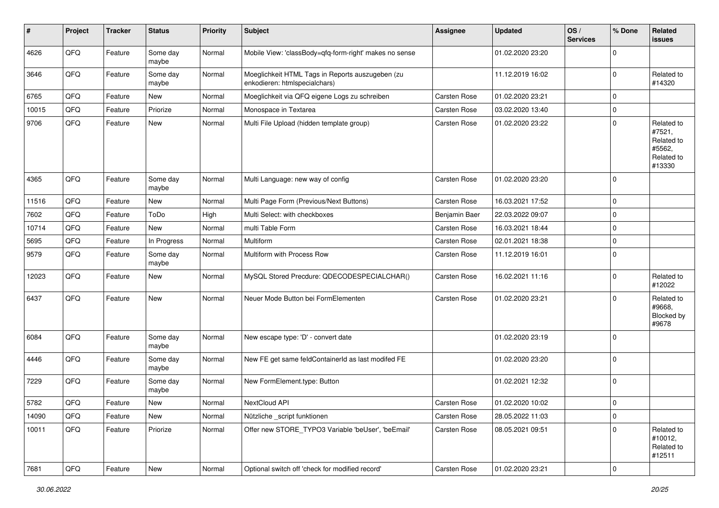| #     | Project        | <b>Tracker</b> | <b>Status</b>     | <b>Priority</b> | <b>Subject</b>                                                                    | Assignee            | <b>Updated</b>   | OS/<br><b>Services</b> | % Done      | Related<br>issues                                                    |
|-------|----------------|----------------|-------------------|-----------------|-----------------------------------------------------------------------------------|---------------------|------------------|------------------------|-------------|----------------------------------------------------------------------|
| 4626  | QFQ            | Feature        | Some day<br>maybe | Normal          | Mobile View: 'classBody=qfq-form-right' makes no sense                            |                     | 01.02.2020 23:20 |                        | $\mathbf 0$ |                                                                      |
| 3646  | QFQ            | Feature        | Some day<br>maybe | Normal          | Moeglichkeit HTML Tags in Reports auszugeben (zu<br>enkodieren: htmlspecialchars) |                     | 11.12.2019 16:02 |                        | $\mathbf 0$ | Related to<br>#14320                                                 |
| 6765  | QFQ            | Feature        | New               | Normal          | Moeglichkeit via QFQ eigene Logs zu schreiben                                     | Carsten Rose        | 01.02.2020 23:21 |                        | $\mathbf 0$ |                                                                      |
| 10015 | QFQ            | Feature        | Priorize          | Normal          | Monospace in Textarea                                                             | Carsten Rose        | 03.02.2020 13:40 |                        | $\mathbf 0$ |                                                                      |
| 9706  | QFQ            | Feature        | New               | Normal          | Multi File Upload (hidden template group)                                         | Carsten Rose        | 01.02.2020 23:22 |                        | $\Omega$    | Related to<br>#7521,<br>Related to<br>#5562,<br>Related to<br>#13330 |
| 4365  | QFQ            | Feature        | Some day<br>maybe | Normal          | Multi Language: new way of config                                                 | Carsten Rose        | 01.02.2020 23:20 |                        | $\mathbf 0$ |                                                                      |
| 11516 | QFQ            | Feature        | New               | Normal          | Multi Page Form (Previous/Next Buttons)                                           | Carsten Rose        | 16.03.2021 17:52 |                        | $\mathbf 0$ |                                                                      |
| 7602  | QFQ            | Feature        | ToDo              | High            | Multi Select: with checkboxes                                                     | Benjamin Baer       | 22.03.2022 09:07 |                        | $\mathbf 0$ |                                                                      |
| 10714 | QFQ            | Feature        | New               | Normal          | multi Table Form                                                                  | Carsten Rose        | 16.03.2021 18:44 |                        | $\mathbf 0$ |                                                                      |
| 5695  | QFQ            | Feature        | In Progress       | Normal          | <b>Multiform</b>                                                                  | Carsten Rose        | 02.01.2021 18:38 |                        | $\mathbf 0$ |                                                                      |
| 9579  | QFQ            | Feature        | Some day<br>maybe | Normal          | Multiform with Process Row                                                        | Carsten Rose        | 11.12.2019 16:01 |                        | $\mathbf 0$ |                                                                      |
| 12023 | QFQ            | Feature        | New               | Normal          | MySQL Stored Precdure: QDECODESPECIALCHAR()                                       | Carsten Rose        | 16.02.2021 11:16 |                        | $\mathbf 0$ | Related to<br>#12022                                                 |
| 6437  | QFQ            | Feature        | New               | Normal          | Neuer Mode Button bei FormElementen                                               | Carsten Rose        | 01.02.2020 23:21 |                        | $\Omega$    | Related to<br>#9668,<br>Blocked by<br>#9678                          |
| 6084  | QFQ            | Feature        | Some day<br>maybe | Normal          | New escape type: 'D' - convert date                                               |                     | 01.02.2020 23:19 |                        | $\mathbf 0$ |                                                                      |
| 4446  | QFQ            | Feature        | Some day<br>maybe | Normal          | New FE get same feldContainerId as last modifed FE                                |                     | 01.02.2020 23:20 |                        | $\mathbf 0$ |                                                                      |
| 7229  | QFQ            | Feature        | Some day<br>maybe | Normal          | New FormElement.type: Button                                                      |                     | 01.02.2021 12:32 |                        | $\mathbf 0$ |                                                                      |
| 5782  | QFQ            | Feature        | New               | Normal          | NextCloud API                                                                     | <b>Carsten Rose</b> | 01.02.2020 10:02 |                        | $\mathbf 0$ |                                                                      |
| 14090 | QFQ            | Feature        | New               | Normal          | Nützliche _script funktionen                                                      | Carsten Rose        | 28.05.2022 11:03 |                        | $\mathbf 0$ |                                                                      |
| 10011 | QFQ            | Feature        | Priorize          | Normal          | Offer new STORE_TYPO3 Variable 'beUser', 'beEmail'                                | Carsten Rose        | 08.05.2021 09:51 |                        | $\mathbf 0$ | Related to<br>#10012,<br>Related to<br>#12511                        |
| 7681  | $\mathsf{QFQ}$ | Feature        | New               | Normal          | Optional switch off 'check for modified record'                                   | Carsten Rose        | 01.02.2020 23:21 |                        | $\pmb{0}$   |                                                                      |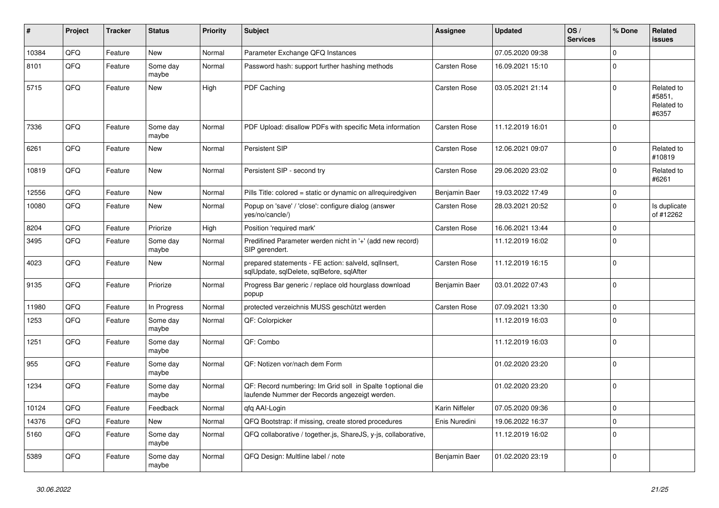| ∦     | Project | <b>Tracker</b> | <b>Status</b>     | <b>Priority</b> | <b>Subject</b>                                                                                               | Assignee            | <b>Updated</b>   | OS/<br><b>Services</b> | % Done       | Related<br><b>issues</b>                    |
|-------|---------|----------------|-------------------|-----------------|--------------------------------------------------------------------------------------------------------------|---------------------|------------------|------------------------|--------------|---------------------------------------------|
| 10384 | QFQ     | Feature        | <b>New</b>        | Normal          | Parameter Exchange QFQ Instances                                                                             |                     | 07.05.2020 09:38 |                        | $\Omega$     |                                             |
| 8101  | QFQ     | Feature        | Some day<br>maybe | Normal          | Password hash: support further hashing methods                                                               | Carsten Rose        | 16.09.2021 15:10 |                        | $\Omega$     |                                             |
| 5715  | QFQ     | Feature        | <b>New</b>        | High            | PDF Caching                                                                                                  | Carsten Rose        | 03.05.2021 21:14 |                        | $\Omega$     | Related to<br>#5851,<br>Related to<br>#6357 |
| 7336  | QFQ     | Feature        | Some day<br>maybe | Normal          | PDF Upload: disallow PDFs with specific Meta information                                                     | Carsten Rose        | 11.12.2019 16:01 |                        | $\Omega$     |                                             |
| 6261  | QFQ     | Feature        | New               | Normal          | <b>Persistent SIP</b>                                                                                        | Carsten Rose        | 12.06.2021 09:07 |                        | $\Omega$     | Related to<br>#10819                        |
| 10819 | QFQ     | Feature        | <b>New</b>        | Normal          | Persistent SIP - second try                                                                                  | Carsten Rose        | 29.06.2020 23:02 |                        | $\Omega$     | Related to<br>#6261                         |
| 12556 | QFQ     | Feature        | <b>New</b>        | Normal          | Pills Title: colored = static or dynamic on allrequiredgiven                                                 | Benjamin Baer       | 19.03.2022 17:49 |                        | 0            |                                             |
| 10080 | QFQ     | Feature        | New               | Normal          | Popup on 'save' / 'close': configure dialog (answer<br>yes/no/cancle/)                                       | Carsten Rose        | 28.03.2021 20:52 |                        | $\Omega$     | Is duplicate<br>of #12262                   |
| 8204  | QFQ     | Feature        | Priorize          | High            | Position 'required mark'                                                                                     | Carsten Rose        | 16.06.2021 13:44 |                        | $\Omega$     |                                             |
| 3495  | QFQ     | Feature        | Some day<br>maybe | Normal          | Predifined Parameter werden nicht in '+' (add new record)<br>SIP gerendert.                                  |                     | 11.12.2019 16:02 |                        | $\mathbf{0}$ |                                             |
| 4023  | QFQ     | Feature        | New               | Normal          | prepared statements - FE action: salveld, sqlInsert,<br>sqlUpdate, sqlDelete, sqlBefore, sqlAfter            | Carsten Rose        | 11.12.2019 16:15 |                        | $\Omega$     |                                             |
| 9135  | QFQ     | Feature        | Priorize          | Normal          | Progress Bar generic / replace old hourglass download<br>popup                                               | Benjamin Baer       | 03.01.2022 07:43 |                        | $\Omega$     |                                             |
| 11980 | QFQ     | Feature        | In Progress       | Normal          | protected verzeichnis MUSS geschützt werden                                                                  | <b>Carsten Rose</b> | 07.09.2021 13:30 |                        | $\mathbf 0$  |                                             |
| 1253  | QFQ     | Feature        | Some day<br>maybe | Normal          | QF: Colorpicker                                                                                              |                     | 11.12.2019 16:03 |                        | $\Omega$     |                                             |
| 1251  | QFQ     | Feature        | Some day<br>maybe | Normal          | QF: Combo                                                                                                    |                     | 11.12.2019 16:03 |                        | $\Omega$     |                                             |
| 955   | QFQ     | Feature        | Some day<br>maybe | Normal          | QF: Notizen vor/nach dem Form                                                                                |                     | 01.02.2020 23:20 |                        | $\Omega$     |                                             |
| 1234  | QFQ     | Feature        | Some day<br>maybe | Normal          | QF: Record numbering: Im Grid soll in Spalte 1 optional die<br>laufende Nummer der Records angezeigt werden. |                     | 01.02.2020 23:20 |                        | $\Omega$     |                                             |
| 10124 | QFQ     | Feature        | Feedback          | Normal          | gfg AAI-Login                                                                                                | Karin Niffeler      | 07.05.2020 09:36 |                        | $\mathbf 0$  |                                             |
| 14376 | QFQ     | Feature        | <b>New</b>        | Normal          | QFQ Bootstrap: if missing, create stored procedures                                                          | Enis Nuredini       | 19.06.2022 16:37 |                        | $\Omega$     |                                             |
| 5160  | QFQ     | Feature        | Some day<br>maybe | Normal          | QFQ collaborative / together.js, ShareJS, y-js, collaborative,                                               |                     | 11.12.2019 16:02 |                        | $\Omega$     |                                             |
| 5389  | QFQ     | Feature        | Some day<br>maybe | Normal          | QFQ Design: Multline label / note                                                                            | Benjamin Baer       | 01.02.2020 23:19 |                        | $\Omega$     |                                             |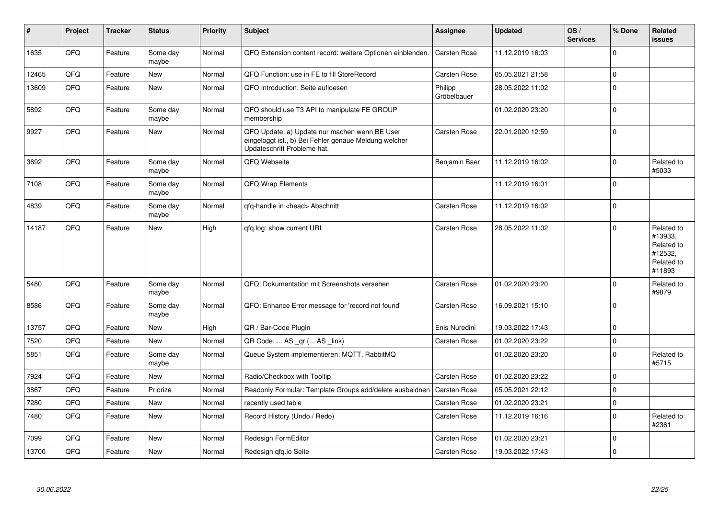| $\sharp$ | Project | <b>Tracker</b> | <b>Status</b>     | <b>Priority</b> | <b>Subject</b>                                                                                                                        | <b>Assignee</b>        | <b>Updated</b>   | OS/<br><b>Services</b> | % Done      | Related<br><b>issues</b>                                               |
|----------|---------|----------------|-------------------|-----------------|---------------------------------------------------------------------------------------------------------------------------------------|------------------------|------------------|------------------------|-------------|------------------------------------------------------------------------|
| 1635     | QFQ     | Feature        | Some day<br>maybe | Normal          | QFQ Extension content record: weitere Optionen einblenden.                                                                            | <b>Carsten Rose</b>    | 11.12.2019 16:03 |                        | $\mathbf 0$ |                                                                        |
| 12465    | QFQ     | Feature        | <b>New</b>        | Normal          | QFQ Function: use in FE to fill StoreRecord                                                                                           | <b>Carsten Rose</b>    | 05.05.2021 21:58 |                        | $\mathbf 0$ |                                                                        |
| 13609    | QFQ     | Feature        | <b>New</b>        | Normal          | QFQ Introduction: Seite aufloesen                                                                                                     | Philipp<br>Gröbelbauer | 28.05.2022 11:02 |                        | $\Omega$    |                                                                        |
| 5892     | QFQ     | Feature        | Some day<br>maybe | Normal          | QFQ should use T3 API to manipulate FE GROUP<br>membership                                                                            |                        | 01.02.2020 23:20 |                        | $\Omega$    |                                                                        |
| 9927     | QFQ     | Feature        | <b>New</b>        | Normal          | QFQ Update: a) Update nur machen wenn BE User<br>eingeloggt ist., b) Bei Fehler genaue Meldung welcher<br>Updateschritt Probleme hat. | Carsten Rose           | 22.01.2020 12:59 |                        | $\mathbf 0$ |                                                                        |
| 3692     | QFQ     | Feature        | Some day<br>maybe | Normal          | QFQ Webseite                                                                                                                          | Benjamin Baer          | 11.12.2019 16:02 |                        | $\mathbf 0$ | Related to<br>#5033                                                    |
| 7108     | QFQ     | Feature        | Some day<br>maybe | Normal          | QFQ Wrap Elements                                                                                                                     |                        | 11.12.2019 16:01 |                        | $\Omega$    |                                                                        |
| 4839     | QFQ     | Feature        | Some day<br>maybe | Normal          | qfq-handle in <head> Abschnitt</head>                                                                                                 | Carsten Rose           | 11.12.2019 16:02 |                        | $\mathbf 0$ |                                                                        |
| 14187    | QFQ     | Feature        | New               | High            | gfg.log: show current URL                                                                                                             | Carsten Rose           | 28.05.2022 11:02 |                        | $\Omega$    | Related to<br>#13933,<br>Related to<br>#12532,<br>Related to<br>#11893 |
| 5480     | QFQ     | Feature        | Some day<br>maybe | Normal          | QFQ: Dokumentation mit Screenshots versehen                                                                                           | Carsten Rose           | 01.02.2020 23:20 |                        | $\Omega$    | Related to<br>#9879                                                    |
| 8586     | QFQ     | Feature        | Some day<br>maybe | Normal          | QFQ: Enhance Error message for 'record not found'                                                                                     | Carsten Rose           | 16.09.2021 15:10 |                        | $\mathbf 0$ |                                                                        |
| 13757    | QFQ     | Feature        | <b>New</b>        | High            | QR / Bar-Code Plugin                                                                                                                  | Enis Nuredini          | 19.03.2022 17:43 |                        | $\mathbf 0$ |                                                                        |
| 7520     | QFQ     | Feature        | <b>New</b>        | Normal          | QR Code:  AS _qr ( AS _link)                                                                                                          | Carsten Rose           | 01.02.2020 23:22 |                        | $\mathbf 0$ |                                                                        |
| 5851     | QFQ     | Feature        | Some day<br>maybe | Normal          | Queue System implementieren: MQTT, RabbitMQ                                                                                           |                        | 01.02.2020 23:20 |                        | $\Omega$    | Related to<br>#5715                                                    |
| 7924     | QFQ     | Feature        | New               | Normal          | Radio/Checkbox with Tooltip                                                                                                           | Carsten Rose           | 01.02.2020 23:22 |                        | $\mathbf 0$ |                                                                        |
| 3867     | QFQ     | Feature        | Priorize          | Normal          | Readonly Formular: Template Groups add/delete ausbeldnen                                                                              | Carsten Rose           | 05.05.2021 22:12 |                        | $\mathbf 0$ |                                                                        |
| 7280     | QFQ     | Feature        | <b>New</b>        | Normal          | recently used table                                                                                                                   | Carsten Rose           | 01.02.2020 23:21 |                        | $\mathbf 0$ |                                                                        |
| 7480     | QFQ     | Feature        | <b>New</b>        | Normal          | Record History (Undo / Redo)                                                                                                          | Carsten Rose           | 11.12.2019 16:16 |                        | $\mathbf 0$ | Related to<br>#2361                                                    |
| 7099     | QFQ     | Feature        | <b>New</b>        | Normal          | Redesign FormEditor                                                                                                                   | Carsten Rose           | 01.02.2020 23:21 |                        | $\Omega$    |                                                                        |
| 13700    | QFQ     | Feature        | <b>New</b>        | Normal          | Redesign qfq.io Seite                                                                                                                 | Carsten Rose           | 19.03.2022 17:43 |                        | $\mathbf 0$ |                                                                        |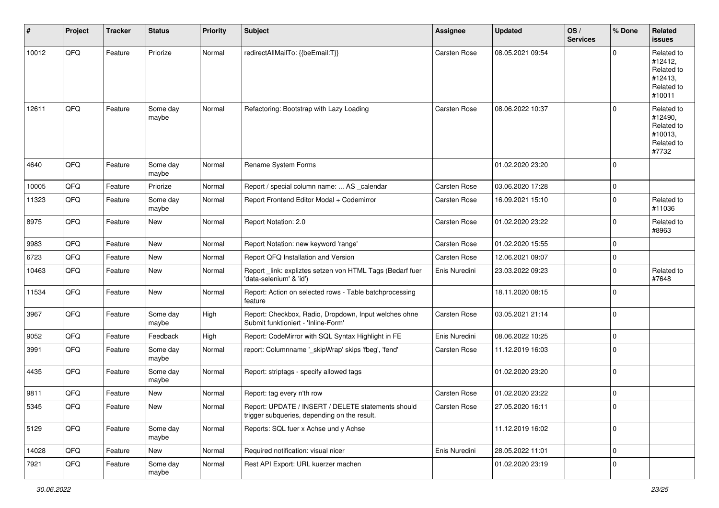| #     | Project | <b>Tracker</b> | <b>Status</b>     | <b>Priority</b> | <b>Subject</b>                                                                                     | <b>Assignee</b> | <b>Updated</b>   | OS/<br><b>Services</b> | % Done         | Related<br><b>issues</b>                                               |
|-------|---------|----------------|-------------------|-----------------|----------------------------------------------------------------------------------------------------|-----------------|------------------|------------------------|----------------|------------------------------------------------------------------------|
| 10012 | QFQ     | Feature        | Priorize          | Normal          | redirectAllMailTo: {{beEmail:T}}                                                                   | Carsten Rose    | 08.05.2021 09:54 |                        | $\Omega$       | Related to<br>#12412,<br>Related to<br>#12413,<br>Related to<br>#10011 |
| 12611 | QFQ     | Feature        | Some day<br>maybe | Normal          | Refactoring: Bootstrap with Lazy Loading                                                           | Carsten Rose    | 08.06.2022 10:37 |                        | $\Omega$       | Related to<br>#12490,<br>Related to<br>#10013,<br>Related to<br>#7732  |
| 4640  | QFQ     | Feature        | Some day<br>maybe | Normal          | Rename System Forms                                                                                |                 | 01.02.2020 23:20 |                        | $\mathbf 0$    |                                                                        |
| 10005 | QFQ     | Feature        | Priorize          | Normal          | Report / special column name:  AS _calendar                                                        | Carsten Rose    | 03.06.2020 17:28 |                        | 0              |                                                                        |
| 11323 | QFQ     | Feature        | Some day<br>maybe | Normal          | Report Frontend Editor Modal + Codemirror                                                          | Carsten Rose    | 16.09.2021 15:10 |                        | $\mathbf 0$    | Related to<br>#11036                                                   |
| 8975  | QFQ     | Feature        | <b>New</b>        | Normal          | Report Notation: 2.0                                                                               | Carsten Rose    | 01.02.2020 23:22 |                        | $\mathbf 0$    | Related to<br>#8963                                                    |
| 9983  | QFQ     | Feature        | <b>New</b>        | Normal          | Report Notation: new keyword 'range'                                                               | Carsten Rose    | 01.02.2020 15:55 |                        | $\mathbf 0$    |                                                                        |
| 6723  | QFQ     | Feature        | <b>New</b>        | Normal          | Report QFQ Installation and Version                                                                | Carsten Rose    | 12.06.2021 09:07 |                        | 0              |                                                                        |
| 10463 | QFQ     | Feature        | <b>New</b>        | Normal          | Report_link: expliztes setzen von HTML Tags (Bedarf fuer<br>'data-selenium' & 'id')                | Enis Nuredini   | 23.03.2022 09:23 |                        | $\Omega$       | Related to<br>#7648                                                    |
| 11534 | QFQ     | Feature        | <b>New</b>        | Normal          | Report: Action on selected rows - Table batchprocessing<br>feature                                 |                 | 18.11.2020 08:15 |                        | $\mathbf 0$    |                                                                        |
| 3967  | QFQ     | Feature        | Some day<br>maybe | High            | Report: Checkbox, Radio, Dropdown, Input welches ohne<br>Submit funktioniert - 'Inline-Form'       | Carsten Rose    | 03.05.2021 21:14 |                        | $\mathbf 0$    |                                                                        |
| 9052  | QFQ     | Feature        | Feedback          | High            | Report: CodeMirror with SQL Syntax Highlight in FE                                                 | Enis Nuredini   | 08.06.2022 10:25 |                        | $\mathbf 0$    |                                                                        |
| 3991  | QFQ     | Feature        | Some day<br>maybe | Normal          | report: Columnname '_skipWrap' skips 'fbeg', 'fend'                                                | Carsten Rose    | 11.12.2019 16:03 |                        | $\overline{0}$ |                                                                        |
| 4435  | QFQ     | Feature        | Some day<br>maybe | Normal          | Report: striptags - specify allowed tags                                                           |                 | 01.02.2020 23:20 |                        | $\mathbf 0$    |                                                                        |
| 9811  | QFQ     | Feature        | New               | Normal          | Report: tag every n'th row                                                                         | Carsten Rose    | 01.02.2020 23:22 |                        | $\mathbf 0$    |                                                                        |
| 5345  | QFG     | Feature        | New               | Normal          | Report: UPDATE / INSERT / DELETE statements should<br>trigger subqueries, depending on the result. | Carsten Rose    | 27.05.2020 16:11 |                        |                |                                                                        |
| 5129  | QFQ     | Feature        | Some day<br>maybe | Normal          | Reports: SQL fuer x Achse und y Achse                                                              |                 | 11.12.2019 16:02 |                        | $\mathbf 0$    |                                                                        |
| 14028 | QFQ     | Feature        | New               | Normal          | Required notification: visual nicer                                                                | Enis Nuredini   | 28.05.2022 11:01 |                        | $\overline{0}$ |                                                                        |
| 7921  | QFQ     | Feature        | Some day<br>maybe | Normal          | Rest API Export: URL kuerzer machen                                                                |                 | 01.02.2020 23:19 |                        | $\mathbf 0$    |                                                                        |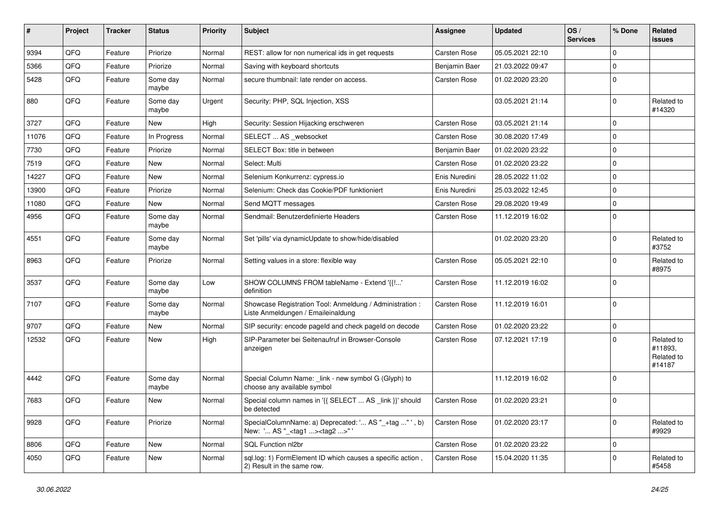| #     | Project | <b>Tracker</b> | <b>Status</b>     | <b>Priority</b> | <b>Subject</b>                                                                                    | Assignee      | <b>Updated</b>   | OS/<br><b>Services</b> | % Done      | Related<br><b>issues</b>                      |
|-------|---------|----------------|-------------------|-----------------|---------------------------------------------------------------------------------------------------|---------------|------------------|------------------------|-------------|-----------------------------------------------|
| 9394  | QFQ     | Feature        | Priorize          | Normal          | REST: allow for non numerical ids in get requests                                                 | Carsten Rose  | 05.05.2021 22:10 |                        | $\mathbf 0$ |                                               |
| 5366  | QFQ     | Feature        | Priorize          | Normal          | Saving with keyboard shortcuts                                                                    | Benjamin Baer | 21.03.2022 09:47 |                        | 0           |                                               |
| 5428  | QFQ     | Feature        | Some day<br>maybe | Normal          | secure thumbnail: late render on access.                                                          | Carsten Rose  | 01.02.2020 23:20 |                        | $\mathbf 0$ |                                               |
| 880   | QFQ     | Feature        | Some day<br>maybe | Urgent          | Security: PHP, SQL Injection, XSS                                                                 |               | 03.05.2021 21:14 |                        | $\Omega$    | Related to<br>#14320                          |
| 3727  | QFQ     | Feature        | <b>New</b>        | High            | Security: Session Hijacking erschweren                                                            | Carsten Rose  | 03.05.2021 21:14 |                        | $\mathbf 0$ |                                               |
| 11076 | QFQ     | Feature        | In Progress       | Normal          | SELECT  AS _websocket                                                                             | Carsten Rose  | 30.08.2020 17:49 |                        | $\Omega$    |                                               |
| 7730  | QFQ     | Feature        | Priorize          | Normal          | SELECT Box: title in between                                                                      | Benjamin Baer | 01.02.2020 23:22 |                        | $\Omega$    |                                               |
| 7519  | QFQ     | Feature        | New               | Normal          | Select: Multi                                                                                     | Carsten Rose  | 01.02.2020 23:22 |                        | $\mathbf 0$ |                                               |
| 14227 | QFQ     | Feature        | <b>New</b>        | Normal          | Selenium Konkurrenz: cypress.io                                                                   | Enis Nuredini | 28.05.2022 11:02 |                        | $\mathbf 0$ |                                               |
| 13900 | QFQ     | Feature        | Priorize          | Normal          | Selenium: Check das Cookie/PDF funktioniert                                                       | Enis Nuredini | 25.03.2022 12:45 |                        | $\mathbf 0$ |                                               |
| 11080 | QFQ     | Feature        | New               | Normal          | Send MQTT messages                                                                                | Carsten Rose  | 29.08.2020 19:49 |                        | $\Omega$    |                                               |
| 4956  | QFQ     | Feature        | Some day<br>maybe | Normal          | Sendmail: Benutzerdefinierte Headers                                                              | Carsten Rose  | 11.12.2019 16:02 |                        | 0           |                                               |
| 4551  | QFQ     | Feature        | Some day<br>maybe | Normal          | Set 'pills' via dynamicUpdate to show/hide/disabled                                               |               | 01.02.2020 23:20 |                        | $\Omega$    | Related to<br>#3752                           |
| 8963  | QFQ     | Feature        | Priorize          | Normal          | Setting values in a store: flexible way                                                           | Carsten Rose  | 05.05.2021 22:10 |                        | $\Omega$    | Related to<br>#8975                           |
| 3537  | QFQ     | Feature        | Some day<br>maybe | Low             | SHOW COLUMNS FROM tableName - Extend '{{!'<br>definition                                          | Carsten Rose  | 11.12.2019 16:02 |                        | $\mathbf 0$ |                                               |
| 7107  | QFQ     | Feature        | Some day<br>maybe | Normal          | Showcase Registration Tool: Anmeldung / Administration :<br>Liste Anmeldungen / Emaileinaldung    | Carsten Rose  | 11.12.2019 16:01 |                        | $\mathbf 0$ |                                               |
| 9707  | QFQ     | Feature        | New               | Normal          | SIP security: encode pageld and check pageld on decode                                            | Carsten Rose  | 01.02.2020 23:22 |                        | $\Omega$    |                                               |
| 12532 | QFQ     | Feature        | <b>New</b>        | High            | SIP-Parameter bei Seitenaufruf in Browser-Console<br>anzeigen                                     | Carsten Rose  | 07.12.2021 17:19 |                        | $\Omega$    | Related to<br>#11893,<br>Related to<br>#14187 |
| 4442  | QFQ     | Feature        | Some day<br>maybe | Normal          | Special Column Name: _link - new symbol G (Glyph) to<br>choose any available symbol               |               | 11.12.2019 16:02 |                        | $\mathbf 0$ |                                               |
| 7683  | QFQ     | Feature        | <b>New</b>        | Normal          | Special column names in '{{ SELECT  AS _link }}' should<br>be detected                            | Carsten Rose  | 01.02.2020 23:21 |                        | 0           |                                               |
| 9928  | QFQ     | Feature        | Priorize          | Normal          | SpecialColumnName: a) Deprecated: ' AS "_+tag " ', b)<br>New: ' AS "_ <tag1><tag2>"</tag2></tag1> | Carsten Rose  | 01.02.2020 23:17 |                        | $\mathbf 0$ | Related to<br>#9929                           |
| 8806  | QFQ     | Feature        | New               | Normal          | SQL Function nl2br                                                                                | Carsten Rose  | 01.02.2020 23:22 |                        | 0           |                                               |
| 4050  | QFQ     | Feature        | New               | Normal          | sql.log: 1) FormElement ID which causes a specific action,<br>2) Result in the same row.          | Carsten Rose  | 15.04.2020 11:35 |                        | 0           | Related to<br>#5458                           |